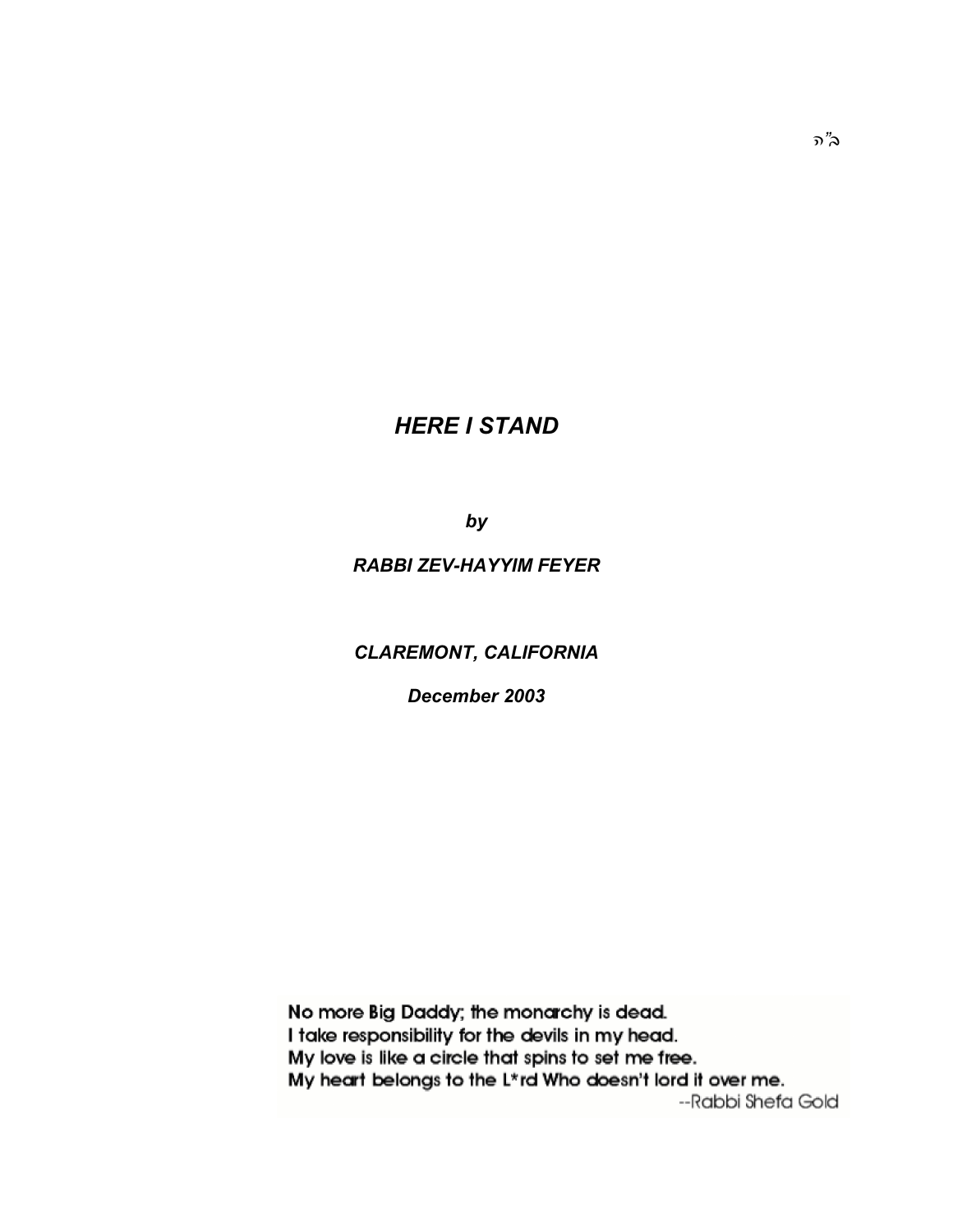# *HERE I STAND*

*by*

## *RABBI ZEV-HAYYIM FEYER*

# *CLAREMONT, CALIFORNIA*

*December 2003*

No more Big Daddy; the monarchy is dead. I take responsibility for the devils in my head. My love is like a circle that spins to set me free. My heart belongs to the L\*rd Who doesn't lord it over me. --Rabbi Shefa Gold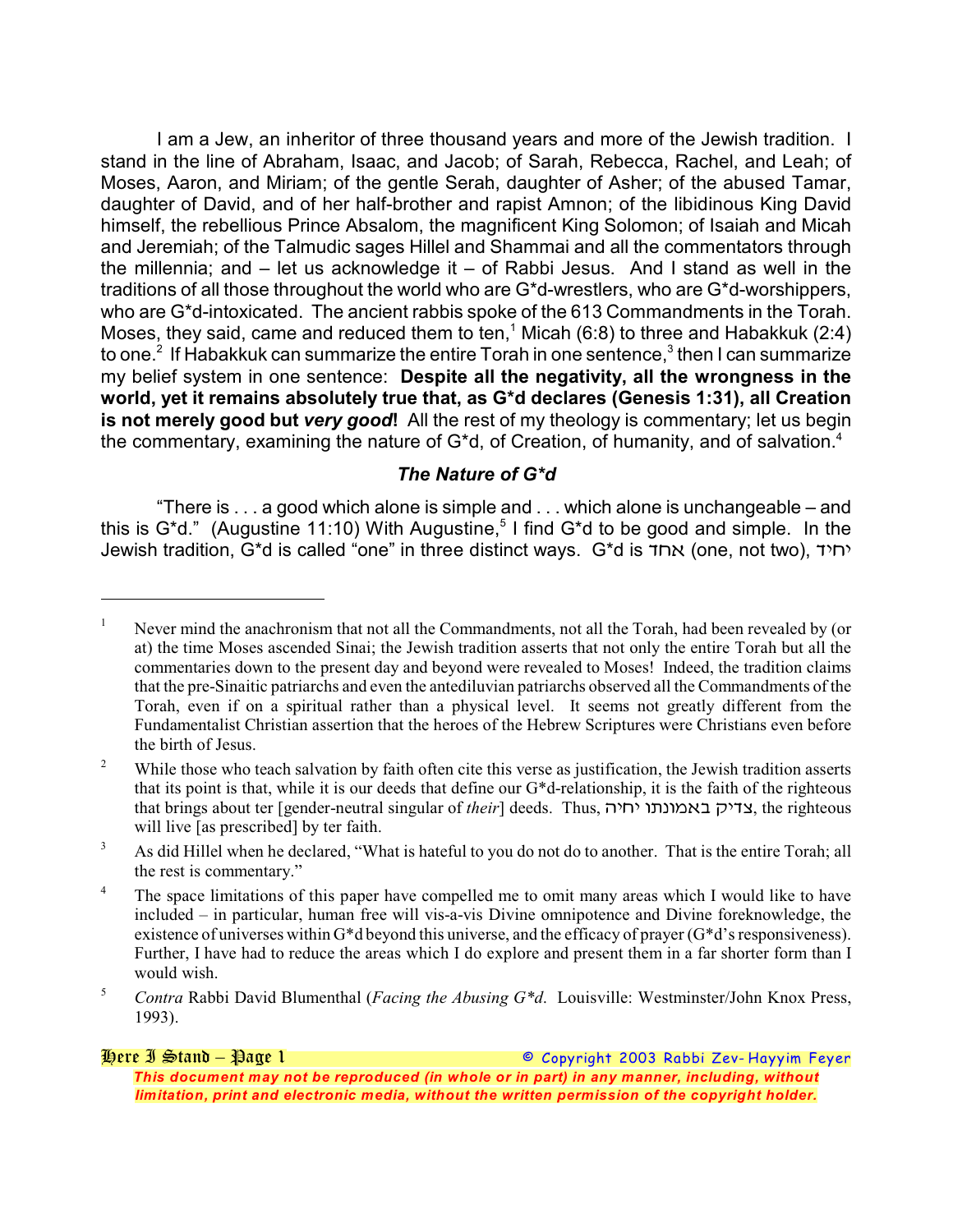I am a Jew, an inheritor of three thousand years and more of the Jewish tradition. I stand in the line of Abraham, Isaac, and Jacob; of Sarah, Rebecca, Rachel, and Leah; of Moses, Aaron, and Miriam; of the gentle Serah, daughter of Asher; of the abused Tamar, daughter of David, and of her half-brother and rapist Amnon; of the libidinous King David himself, the rebellious Prince Absalom, the magnificent King Solomon; of Isaiah and Micah and Jeremiah; of the Talmudic sages Hillel and Shammai and all the commentators through the millennia; and – let us acknowledge it – of Rabbi Jesus. And I stand as well in the traditions of all those throughout the world who are G\*d-wrestlers, who are G\*d-worshippers, who are G\*d-intoxicated. The ancient rabbis spoke of the 613 Commandments in the Torah. Moses, they said, came and reduced them to ten,<sup>1</sup> Micah (6:8) to three and Habakkuk (2:4) to one. $^2$  If Habakkuk can summarize the entire Torah in one sentence, $^3$  then I can summarize my belief system in one sentence: **Despite all the negativity, all the wrongness in the world, yet it remains absolutely true that, as G\*d declares (Genesis 1:31), all Creation is not merely good but** *very good***!** All the rest of my theology is commentary; let us begin the commentary, examining the nature of  $G^*d$ , of Creation, of humanity, and of salvation.<sup>4</sup>

### *The Nature of G\*d*

"There is . . . a good which alone is simple and . . . which alone is unchangeable – and this is  $G^*d$ ." (Augustine 11:10) With Augustine,<sup>5</sup> I find  $G^*d$  to be good and simple. In the Jewish tradition, G\*d is called "one" in three distinct ways. G\*d is *\$(!* (one, not two), *\$\*(\**

#### *Here I Stand – Page 1 © Copyright 2003 Rabbi Zev- Hayyim Feyer This document may not be reproduced (in whole or in part) in any manner, including, without limitation, print and electronic media, without the written permission of the copyright holder.*

Never mind the anachronism that not all the Commandments, not all the Torah, had been revealed by (or at) the time Moses ascended Sinai; the Jewish tradition asserts that not only the entire Torah but all the commentaries down to the present day and beyond were revealed to Moses! Indeed, the tradition claims that the pre-Sinaitic patriarchs and even the antediluvian patriarchs observed all the Commandments of the Torah, even if on a spiritual rather than a physical level. It seems not greatly different from the Fundamentalist Christian assertion that the heroes of the Hebrew Scriptures were Christians even before the birth of Jesus.

While those who teach salvation by faith often cite this verse as justification, the Jewish tradition asserts 2 that its point is that, while it is our deeds that define our G\*d-relationship, it is the faith of the righteous that brings about ter [gender-neutral singular of *their*] deeds. Thus, *%\*(\* &;1&/!" 8\*\$7*, the righteous will live [as prescribed] by ter faith.

<sup>&</sup>lt;sup>3</sup> As did Hillel when he declared, "What is hateful to you do not do to another. That is the entire Torah; all the rest is commentary."

<sup>&</sup>lt;sup>4</sup> The space limitations of this paper have compelled me to omit many areas which I would like to have included – in particular, human free will vis-a-vis Divine omnipotence and Divine foreknowledge, the existence of universes within G\*d beyond this universe, and the efficacy of prayer (G\*d's responsiveness). Further, I have had to reduce the areas which I do explore and present them in a far shorter form than I would wish.

<sup>&</sup>lt;sup>5</sup> Contra Rabbi David Blumenthal (*Facing the Abusing G<sup>\*</sup>d*. Louisville: Westminster/John Knox Press, 1993).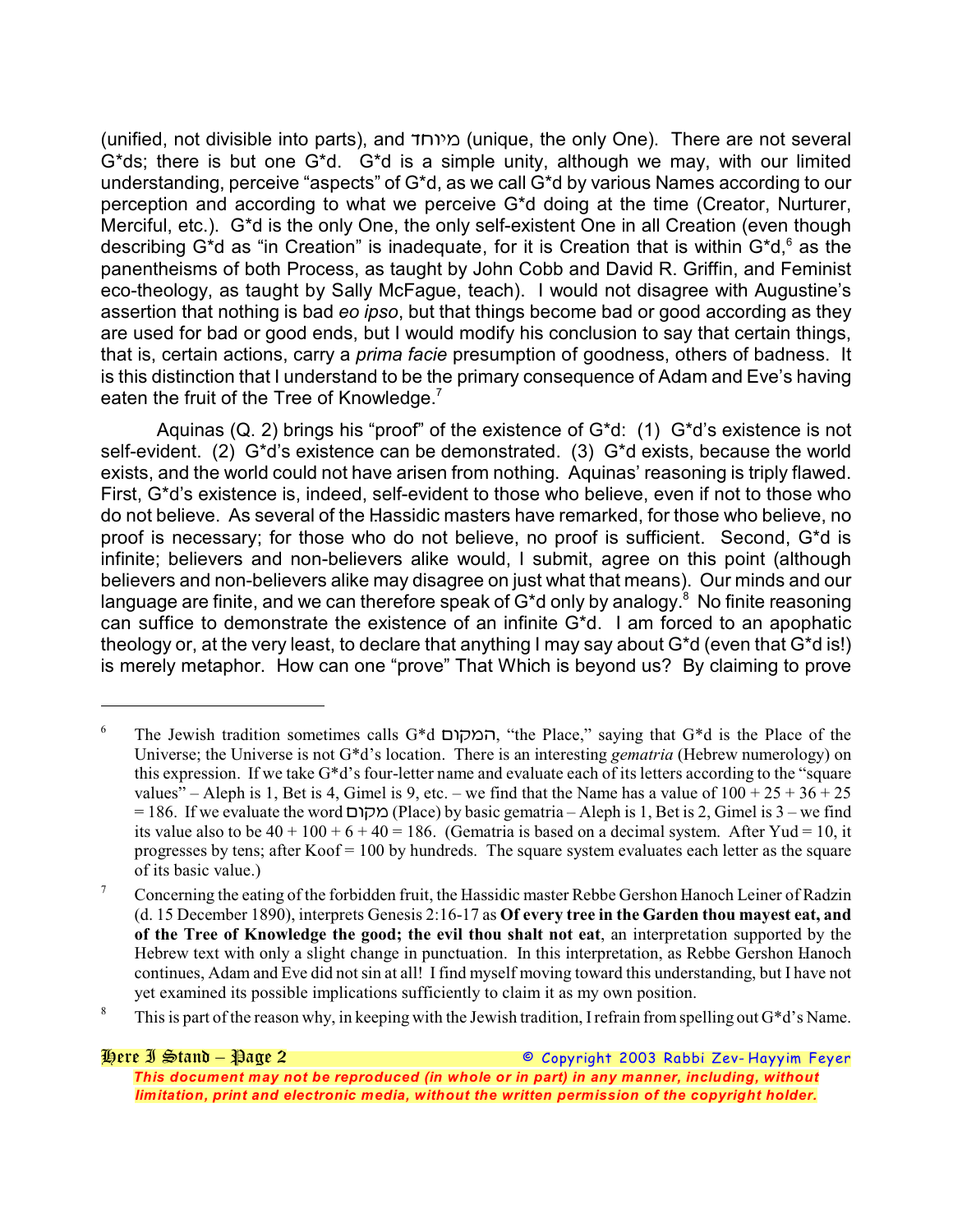(unified, not divisible into parts), and *\$(&\*/* (unique, the only One). There are not several G\*ds; there is but one G\*d. G\*d is a simple unity, although we may, with our limited understanding, perceive "aspects" of G\*d, as we call G\*d by various Names according to our perception and according to what we perceive G\*d doing at the time (Creator, Nurturer, Merciful, etc.). G\*d is the only One, the only self-existent One in all Creation (even though describing G<sup>\*</sup>d as "in Creation" is inadequate, for it is Creation that is within G<sup>\*</sup>d,  $6$  as the panentheisms of both Process, as taught by John Cobb and David R. Griffin, and Feminist eco-theology, as taught by Sally McFague, teach). I would not disagree with Augustine's assertion that nothing is bad *eo ipso*, but that things become bad or good according as they are used for bad or good ends, but I would modify his conclusion to say that certain things, that is, certain actions, carry a *prima facie* presumption of goodness, others of badness. It is this distinction that I understand to be the primary consequence of Adam and Eve's having eaten the fruit of the Tree of Knowledge. $<sup>7</sup>$ </sup>

Aquinas (Q. 2) brings his "proof" of the existence of G\*d: (1) G\*d's existence is not self-evident. (2) G\*d's existence can be demonstrated. (3) G\*d exists, because the world exists, and the world could not have arisen from nothing. Aquinas' reasoning is triply flawed. First, G\*d's existence is, indeed, self-evident to those who believe, even if not to those who do not believe. As several of the Hassidic masters have remarked, for those who believe, no proof is necessary; for those who do not believe, no proof is sufficient. Second, G\*d is infinite; believers and non-believers alike would, I submit, agree on this point (although believers and non-believers alike may disagree on just what that means). Our minds and our language are finite, and we can therefore speak of  $G^*$ d only by analogy.<sup>8</sup> No finite reasoning can suffice to demonstrate the existence of an infinite G\*d. I am forced to an apophatic theology or, at the very least, to declare that anything I may say about G\*d (even that G\*d is!) is merely metaphor. How can one "prove" That Which is beyond us? By claiming to prove

The Jewish tradition sometimes calls G\*d *.&8/%*, "the Place," saying that G\*d is the Place of the <sup>6</sup> Universe; the Universe is not G\*d's location. There is an interesting *gematria* (Hebrew numerology) on this expression. If we take G\*d's four-letter name and evaluate each of its letters according to the "square values" – Aleph is 1, Bet is 4, Gimel is 9, etc. – we find that the Name has a value of  $100 + 25 + 36 + 25$ = 186. If we evaluate the word *.&8/* (Place) by basic gematria – Aleph is 1, Bet is 2, Gimel is 3 – we find its value also to be  $40 + 100 + 6 + 40 = 186$ . (Gematria is based on a decimal system. After Yud = 10, it progresses by tens; after  $Koof = 100$  by hundreds. The square system evaluates each letter as the square of its basic value.)

<sup>&</sup>lt;sup>7</sup> Concerning the eating of the forbidden fruit, the Hassidic master Rebbe Gershon Hanoch Leiner of Radzin (d. 15 December 1890), interprets Genesis 2:16-17 as **Of every tree in the Garden thou mayest eat, and of the Tree of Knowledge the good; the evil thou shalt not eat**, an interpretation supported by the Hebrew text with only a slight change in punctuation. In this interpretation, as Rebbe Gershon Hanoch continues, Adam and Eve did not sin at all! I find myself moving toward this understanding, but I have not yet examined its possible implications sufficiently to claim it as my own position.

<sup>&</sup>lt;sup>8</sup> This is part of the reason why, in keeping with the Jewish tradition, I refrain from spelling out  $G^*d$ 's Name.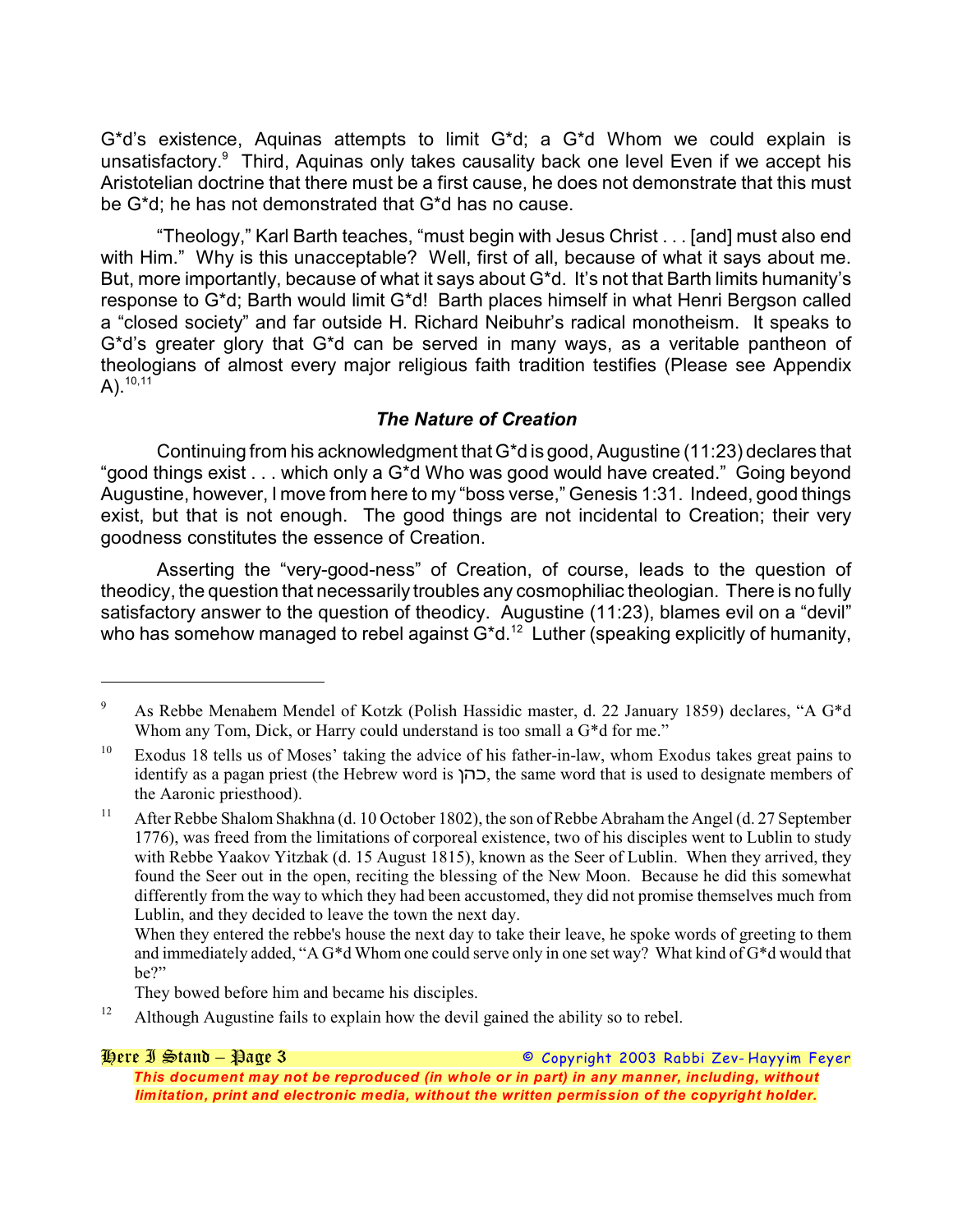G\*d's existence, Aquinas attempts to limit G\*d; a G\*d Whom we could explain is unsatisfactory.<sup>9</sup> Third, Aquinas only takes causality back one level Even if we accept his Aristotelian doctrine that there must be a first cause, he does not demonstrate that this must be G\*d; he has not demonstrated that G\*d has no cause.

"Theology," Karl Barth teaches, "must begin with Jesus Christ . . . [and] must also end with Him." Why is this unacceptable? Well, first of all, because of what it says about me. But, more importantly, because of what it says about G<sup>\*</sup>d. It's not that Barth limits humanity's response to G\*d; Barth would limit G\*d! Barth places himself in what Henri Bergson called a "closed society" and far outside H. Richard Neibuhr's radical monotheism. It speaks to G\*d's greater glory that G\*d can be served in many ways, as a veritable pantheon of theologians of almost every major religious faith tradition testifies (Please see Appendix  $A)$ .<sup>10,11</sup>

# *The Nature of Creation*

Continuing from his acknowledgment that G\*d is good, Augustine (11:23) declares that "good things exist . . . which only a G\*d Who was good would have created." Going beyond Augustine, however, I move from here to my "boss verse," Genesis 1:31. Indeed, good things exist, but that is not enough. The good things are not incidental to Creation; their very goodness constitutes the essence of Creation.

Asserting the "very-good-ness" of Creation, of course, leads to the question of theodicy, the question that necessarily troubles any cosmophiliac theologian. There is no fully satisfactory answer to the question of theodicy. Augustine (11:23), blames evil on a "devil" who has somehow managed to rebel against  $G d^{-2}$  Luther (speaking explicitly of humanity,

They bowed before him and became his disciples.

Although Augustine fails to explain how the devil gained the ability so to rebel. 12

*Here I Stand – Page 3 © Copyright 2003 Rabbi Zev- Hayyim Feyer This document may not be reproduced (in whole or in part) in any manner, including, without limitation, print and electronic media, without the written permission of the copyright holder.*

<sup>&</sup>lt;sup>9</sup> As Rebbe Menahem Mendel of Kotzk (Polish Hassidic master, d. 22 January 1859) declares, "A G\*d Whom any Tom, Dick, or Harry could understand is too small a G<sup>\*</sup>d for me."

 $^{10}$  Exodus 18 tells us of Moses' taking the advice of his father-in-law, whom Exodus takes great pains to identify as a pagan priest (the Hebrew word is *0%,*, the same word that is used to designate members of the Aaronic priesthood).

<sup>&</sup>lt;sup>11</sup> After Rebbe Shalom Shakhna (d. 10 October 1802), the son of Rebbe Abraham the Angel (d. 27 September 1776), was freed from the limitations of corporeal existence, two of his disciples went to Lublin to study with Rebbe Yaakov Yitzhak (d. 15 August 1815), known as the Seer of Lublin. When they arrived, they found the Seer out in the open, reciting the blessing of the New Moon. Because he did this somewhat differently from the way to which they had been accustomed, they did not promise themselves much from Lublin, and they decided to leave the town the next day.

When they entered the rebbe's house the next day to take their leave, he spoke words of greeting to them and immediately added, "A G\*d Whom one could serve only in one set way? What kind of G\*d would that be?"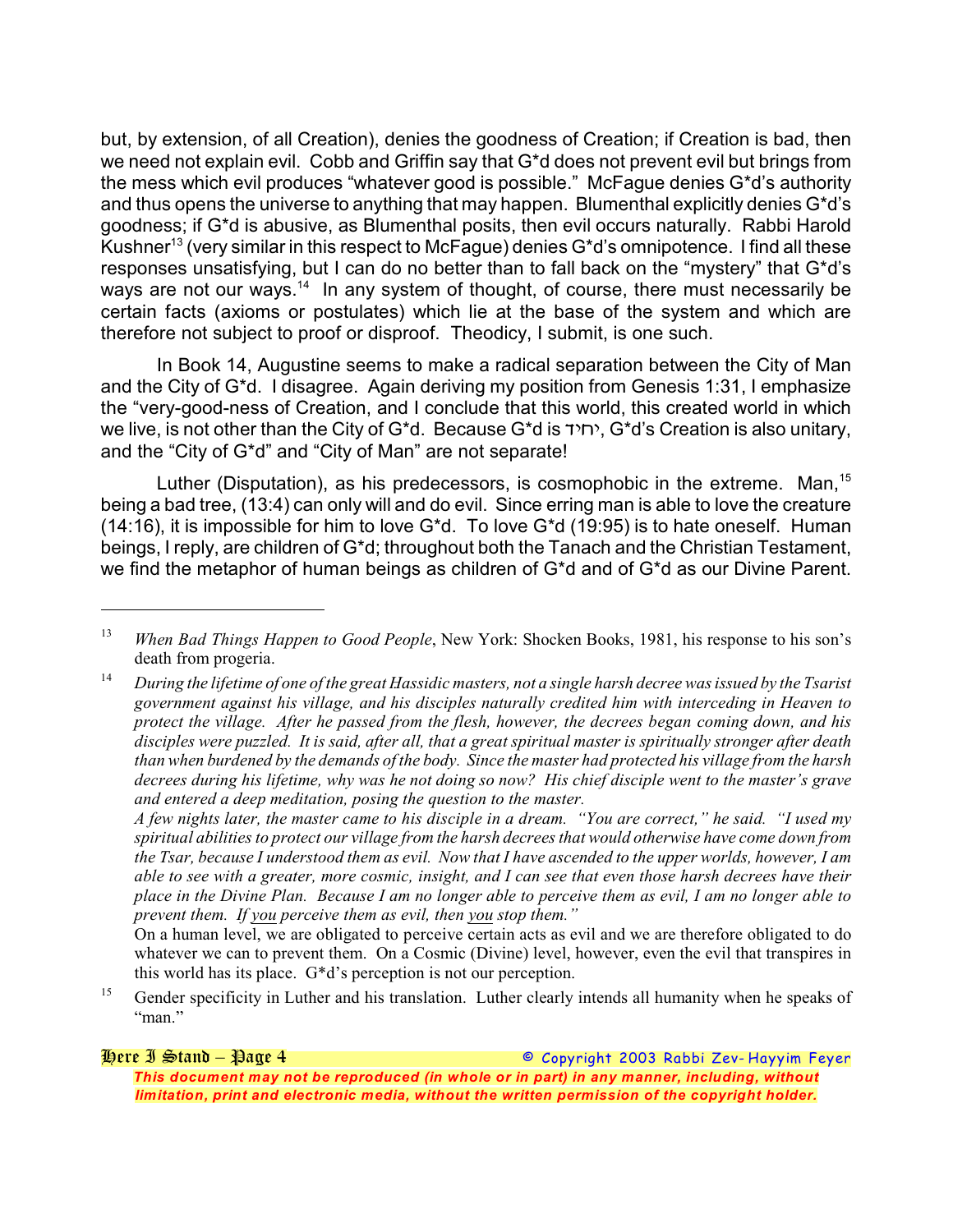but, by extension, of all Creation), denies the goodness of Creation; if Creation is bad, then we need not explain evil. Cobb and Griffin say that G\*d does not prevent evil but brings from the mess which evil produces "whatever good is possible." McFague denies G\*d's authority and thus opens the universe to anything that may happen. Blumenthal explicitly denies G\*d's goodness; if G\*d is abusive, as Blumenthal posits, then evil occurs naturally. Rabbi Harold Kushner<sup>13</sup> (very similar in this respect to McFague) denies G\*d's omnipotence. I find all these responses unsatisfying, but I can do no better than to fall back on the "mystery" that G\*d's ways are not our ways.<sup>14</sup> In any system of thought, of course, there must necessarily be certain facts (axioms or postulates) which lie at the base of the system and which are therefore not subject to proof or disproof. Theodicy, I submit, is one such.

In Book 14, Augustine seems to make a radical separation between the City of Man and the City of G\*d. I disagree. Again deriving my position from Genesis 1:31, I emphasize the "very-good-ness of Creation, and I conclude that this world, this created world in which we live, is not other than the City of G<sup>\*</sup>d. Because G<sup>\*</sup>d is *יחיד*, G<sup>\*</sup>d's Creation is also unitary, and the "City of G\*d" and "City of Man" are not separate!

Luther (Disputation), as his predecessors, is cosmophobic in the extreme. Man,  $15$ being a bad tree, (13:4) can only will and do evil. Since erring man is able to love the creature (14:16), it is impossible for him to love G\*d. To love G\*d (19:95) is to hate oneself. Human beings, I reply, are children of G\*d; throughout both the Tanach and the Christian Testament, we find the metaphor of human beings as children of G\*d and of G\*d as our Divine Parent.

*A few nights later, the master came to his disciple in a dream. "You are correct," he said. "I used my spiritual abilities to protect our village from the harsh decrees that would otherwise have come down from the Tsar, because I understood them as evil. Now that I have ascended to the upper worlds, however, I am able to see with a greater, more cosmic, insight, and I can see that even those harsh decrees have their place in the Divine Plan. Because I am no longer able to perceive them as evil, I am no longer able to prevent them. If you perceive them as evil, then you stop them."*

On a human level, we are obligated to perceive certain acts as evil and we are therefore obligated to do whatever we can to prevent them. On a Cosmic (Divine) level, however, even the evil that transpires in this world has its place. G\*d's perception is not our perception.

<sup>15</sup> Gender specificity in Luther and his translation. Luther clearly intends all humanity when he speaks of "man."

*Here I Stand – Page 4 © Copyright 2003 Rabbi Zev- Hayyim Feyer This document may not be reproduced (in whole or in part) in any manner, including, without limitation, print and electronic media, without the written permission of the copyright holder.*

<sup>&</sup>lt;sup>13</sup> When Bad Things Happen to Good People, New York: Shocken Books, 1981, his response to his son's death from progeria.

*During the lifetime of one of the great H. assidic masters, not a single harsh decree was issued by the Tsarist* 14 *government against his village, and his disciples naturally credited him with interceding in Heaven to protect the village. After he passed from the flesh, however, the decrees began coming down, and his disciples were puzzled. It is said, after all, that a great spiritual master is spiritually stronger after death than when burdened by the demands of the body. Since the master had protected his village from the harsh decrees during his lifetime, why was he not doing so now? His chief disciple went to the master's grave and entered a deep meditation, posing the question to the master.*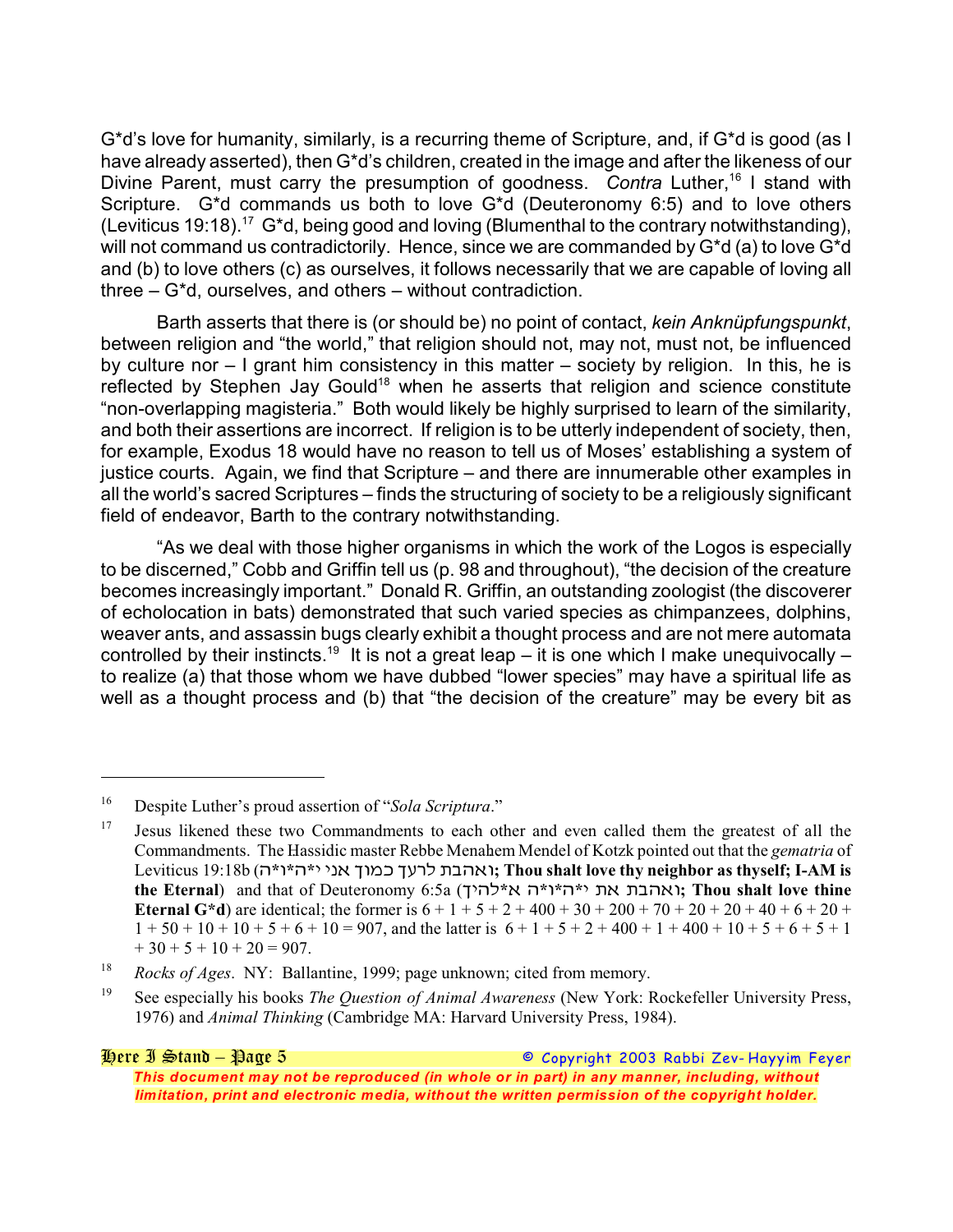G\*d's love for humanity, similarly, is a recurring theme of Scripture, and, if G\*d is good (as I have already asserted), then G\*d's children, created in the image and after the likeness of our Divine Parent, must carry the presumption of goodness. Contra Luther,<sup>16</sup> I stand with Scripture. G\*d commands us both to love G\*d (Deuteronomy 6:5) and to love others (Leviticus 19:18).<sup>17</sup> G<sup>\*</sup>d, being good and loving (Blumenthal to the contrary notwithstanding), will not command us contradictorily. Hence, since we are commanded by G<sup>\*</sup>d (a) to love G<sup>\*d</sup> and (b) to love others (c) as ourselves, it follows necessarily that we are capable of loving all three – G\*d, ourselves, and others – without contradiction.

Barth asserts that there is (or should be) no point of contact, *kein Anknüpfungspunkt*, between religion and "the world," that religion should not, may not, must not, be influenced by culture nor – I grant him consistency in this matter – society by religion. In this, he is reflected by Stephen Jay Gould<sup>18</sup> when he asserts that religion and science constitute "non-overlapping magisteria." Both would likely be highly surprised to learn of the similarity, and both their assertions are incorrect. If religion is to be utterly independent of society, then, for example, Exodus 18 would have no reason to tell us of Moses' establishing a system of justice courts. Again, we find that Scripture – and there are innumerable other examples in all the world's sacred Scriptures – finds the structuring of society to be a religiously significant field of endeavor, Barth to the contrary notwithstanding.

"As we deal with those higher organisms in which the work of the Logos is especially to be discerned," Cobb and Griffin tell us (p. 98 and throughout), "the decision of the creature becomes increasingly important." Donald R. Griffin, an outstanding zoologist (the discoverer of echolocation in bats) demonstrated that such varied species as chimpanzees, dolphins, weaver ants, and assassin bugs clearly exhibit a thought process and are not mere automata controlled by their instincts.<sup>19</sup> It is not a great leap – it is one which I make unequivocally – to realize (a) that those whom we have dubbed "lower species" may have a spiritual life as well as a thought process and (b) that "the decision of the creature" may be every bit as

<sup>&</sup>lt;sup>16</sup> Despite Luther's proud assertion of "*Sola Scriptura*."

 $17$  Jesus likened these two Commandments to each other and even called them the greatest of all the Commandments. The Hassidic master Rebbe Menahem Mendel of Kotzk pointed out that the *gematria* of Leviticus 19:18b (%**\***&**\***%**\***\* \*1! +&/, +39- ;"%!&**; Thou shalt love thy neighbor as thyself; I-AM is the Eternal**) and that of Deuteronomy 6:5a (+\*%-**\***! %**\***&**\***%**\***\* ;! ;"%!&**; Thou shalt love thine Eternal G<sup>\*</sup>d**) are identical; the former is  $6 + 1 + 5 + 2 + 400 + 30 + 200 + 70 + 20 + 20 + 40 + 6 + 20 + 1$  $1 + 50 + 10 + 10 + 5 + 6 + 10 = 907$ , and the latter is  $6 + 1 + 5 + 2 + 400 + 1 + 400 + 10 + 5 + 6 + 5 + 1$  $+30 + 5 + 10 + 20 = 907.$ 

<sup>&</sup>lt;sup>18</sup> *Rocks of Ages.* NY: Ballantine, 1999; page unknown; cited from memory.

<sup>&</sup>lt;sup>19</sup> See especially his books *The Question of Animal Awareness* (New York: Rockefeller University Press, 1976) and *Animal Thinking* (Cambridge MA: Harvard University Press, 1984).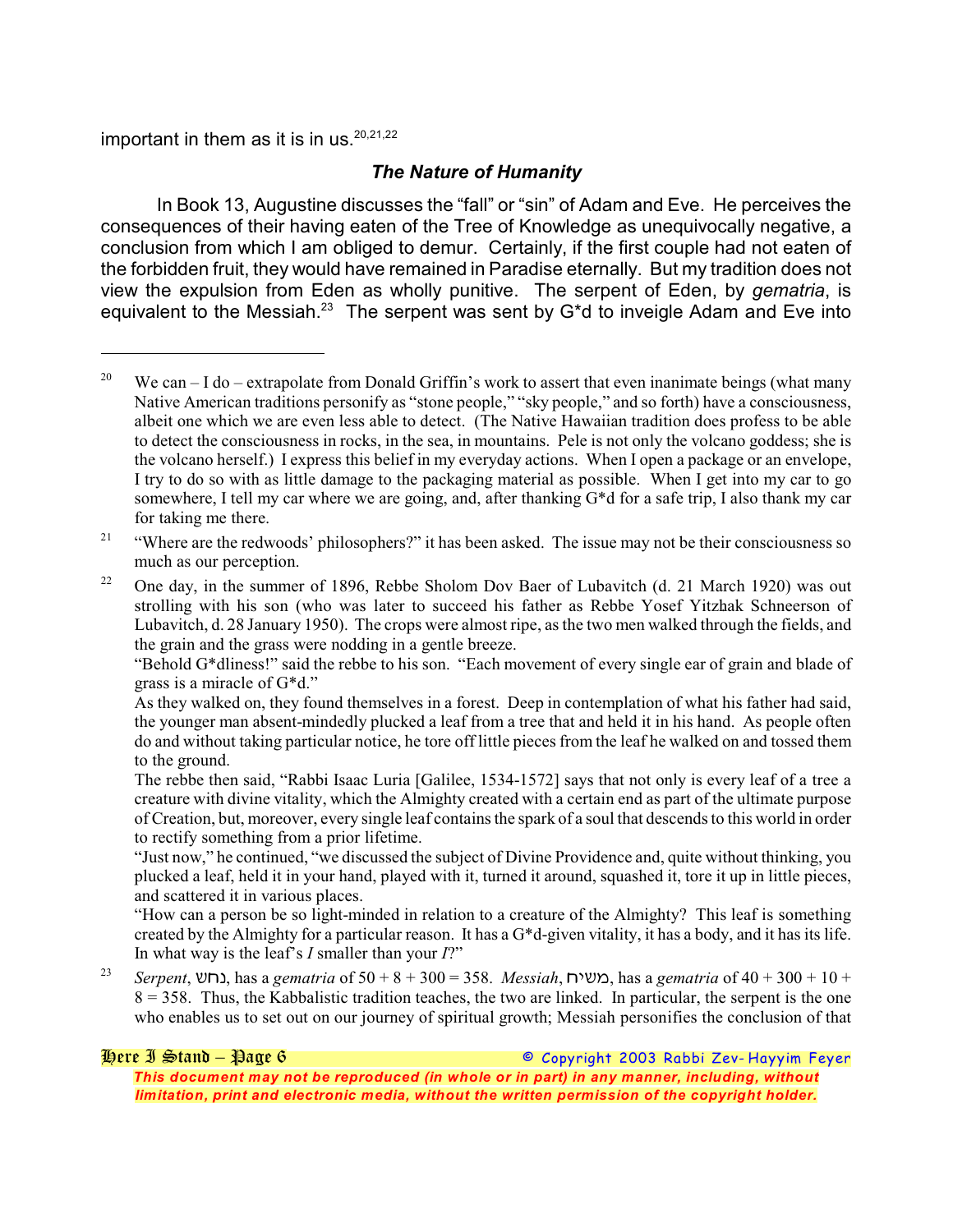important in them as it is in us.  $20,21,22$ 

#### *The Nature of Humanity*

In Book 13, Augustine discusses the "fall" or "sin" of Adam and Eve. He perceives the consequences of their having eaten of the Tree of Knowledge as unequivocally negative, a conclusion from which I am obliged to demur. Certainly, if the first couple had not eaten of the forbidden fruit, they would have remained in Paradise eternally. But my tradition does not view the expulsion from Eden as wholly punitive. The serpent of Eden, by *gematria*, is equivalent to the Messiah.<sup>23</sup> The serpent was sent by G<sup>\*</sup>d to inveigle Adam and Eve into

"How can a person be so light-minded in relation to a creature of the Almighty? This leaf is something created by the Almighty for a particular reason. It has a G\*d-given vitality, it has a body, and it has its life. In what way is the leaf's *I* smaller than your *I*?"

*Serpent*, *:(1*, has a *gematria* of 50 + 8 + 300 = 358. *Messiah*, *(\*:/*, has a *gematria* of 40 + 300 + 10 + 23  $8 = 358$ . Thus, the Kabbalistic tradition teaches, the two are linked. In particular, the serpent is the one who enables us to set out on our journey of spiritual growth; Messiah personifies the conclusion of that

*Here I Stand – Page 6 © Copyright 2003 Rabbi Zev- Hayyim Feyer*

*This document may not be reproduced (in whole or in part) in any manner, including, without limitation, print and electronic media, without the written permission of the copyright holder.*

<sup>&</sup>lt;sup>20</sup> We can – I do – extrapolate from Donald Griffin's work to assert that even inanimate beings (what many Native American traditions personify as "stone people," "sky people," and so forth) have a consciousness, albeit one which we are even less able to detect. (The Native Hawaiian tradition does profess to be able to detect the consciousness in rocks, in the sea, in mountains. Pele is not only the volcano goddess; she is the volcano herself.) I express this belief in my everyday actions. When I open a package or an envelope, I try to do so with as little damage to the packaging material as possible. When I get into my car to go somewhere, I tell my car where we are going, and, after thanking G\*d for a safe trip, I also thank my car for taking me there.

 $\cdot$ <sup>21</sup> "Where are the redwoods' philosophers?" it has been asked. The issue may not be their consciousness so much as our perception.

<sup>&</sup>lt;sup>22</sup> One day, in the summer of 1896, Rebbe Sholom Dov Baer of Lubavitch (d. 21 March 1920) was out strolling with his son (who was later to succeed his father as Rebbe Yosef Yitzhak Schneerson of Lubavitch, d. 28 January 1950). The crops were almost ripe, as the two men walked through the fields, and the grain and the grass were nodding in a gentle breeze.

<sup>&</sup>quot;Behold G\*dliness!" said the rebbe to his son. "Each movement of every single ear of grain and blade of grass is a miracle of G\*d."

As they walked on, they found themselves in a forest. Deep in contemplation of what his father had said, the younger man absent-mindedly plucked a leaf from a tree that and held it in his hand. As people often do and without taking particular notice, he tore off little pieces from the leaf he walked on and tossed them to the ground.

The rebbe then said, "Rabbi Isaac Luria [Galilee, 1534-1572] says that not only is every leaf of a tree a creature with divine vitality, which the Almighty created with a certain end as part of the ultimate purpose of Creation, but, moreover, every single leaf contains the spark of a soul that descends to this world in order to rectify something from a prior lifetime.

<sup>&</sup>quot;Just now," he continued, "we discussed the subject of Divine Providence and, quite without thinking, you plucked a leaf, held it in your hand, played with it, turned it around, squashed it, tore it up in little pieces, and scattered it in various places.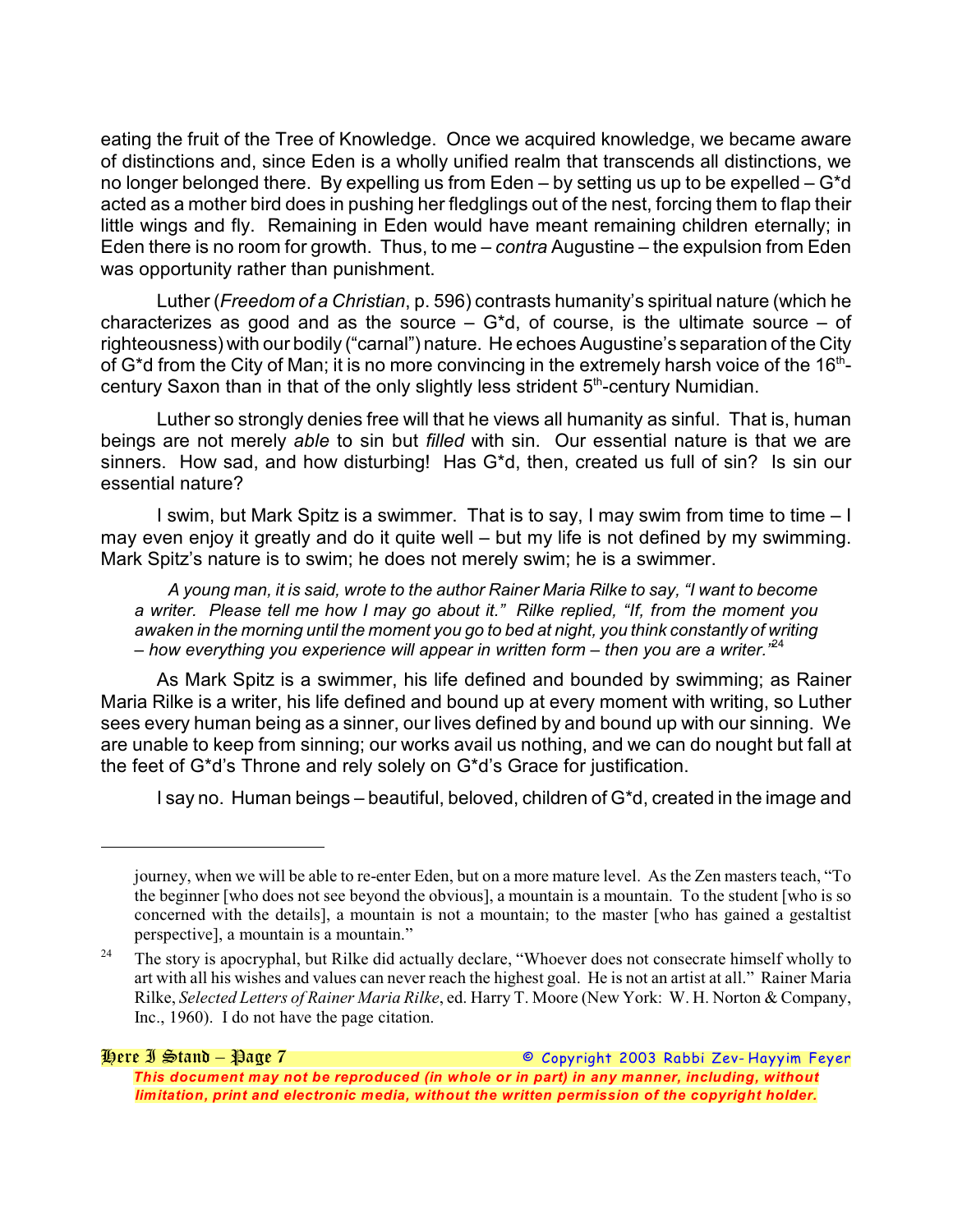eating the fruit of the Tree of Knowledge. Once we acquired knowledge, we became aware of distinctions and, since Eden is a wholly unified realm that transcends all distinctions, we no longer belonged there. By expelling us from Eden – by setting us up to be expelled – G\*d acted as a mother bird does in pushing her fledglings out of the nest, forcing them to flap their little wings and fly. Remaining in Eden would have meant remaining children eternally; in Eden there is no room for growth. Thus, to me – *contra* Augustine – the expulsion from Eden was opportunity rather than punishment.

Luther (*Freedom of a Christian*, p. 596) contrasts humanity's spiritual nature (which he characterizes as good and as the source  $-$  G<sup>\*</sup>d, of course, is the ultimate source  $-$  of righteousness) with our bodily ("carnal") nature. He echoes Augustine's separation of the City of G\*d from the City of Man; it is no more convincing in the extremely harsh voice of the 16<sup>th</sup>century Saxon than in that of the only slightly less strident 5<sup>th</sup>-century Numidian.

Luther so strongly denies free will that he views all humanity as sinful. That is, human beings are not merely *able* to sin but *filled* with sin. Our essential nature is that we are sinners. How sad, and how disturbing! Has G\*d, then, created us full of sin? Is sin our essential nature?

I swim, but Mark Spitz is a swimmer. That is to say, I may swim from time to time – I may even enjoy it greatly and do it quite well – but my life is not defined by my swimming. Mark Spitz's nature is to swim; he does not merely swim; he is a swimmer.

*A young man, it is said, wrote to the author Rainer Maria Rilke to say, "I want to become a writer. Please tell me how I may go about it." Rilke replied, "If, from the moment you awaken in the morning until the moment you go to bed at night, you think constantly of writing – how everything you experience will appear in written form – then you are a writer."* 24

As Mark Spitz is a swimmer, his life defined and bounded by swimming; as Rainer Maria Rilke is a writer, his life defined and bound up at every moment with writing, so Luther sees every human being as a sinner, our lives defined by and bound up with our sinning. We are unable to keep from sinning; our works avail us nothing, and we can do nought but fall at the feet of G\*d's Throne and rely solely on G\*d's Grace for justification.

I say no. Human beings – beautiful, beloved, children of G\*d, created in the image and

journey, when we will be able to re-enter Eden, but on a more mature level. As the Zen masters teach, "To the beginner [who does not see beyond the obvious], a mountain is a mountain. To the student [who is so concerned with the details], a mountain is not a mountain; to the master [who has gained a gestaltist perspective], a mountain is a mountain."

 $24$  The story is apocryphal, but Rilke did actually declare, "Whoever does not consecrate himself wholly to art with all his wishes and values can never reach the highest goal. He is not an artist at all." Rainer Maria Rilke, *Selected Letters of Rainer Maria Rilke*, ed. Harry T. Moore (New York: W. H. Norton & Company, Inc., 1960). I do not have the page citation.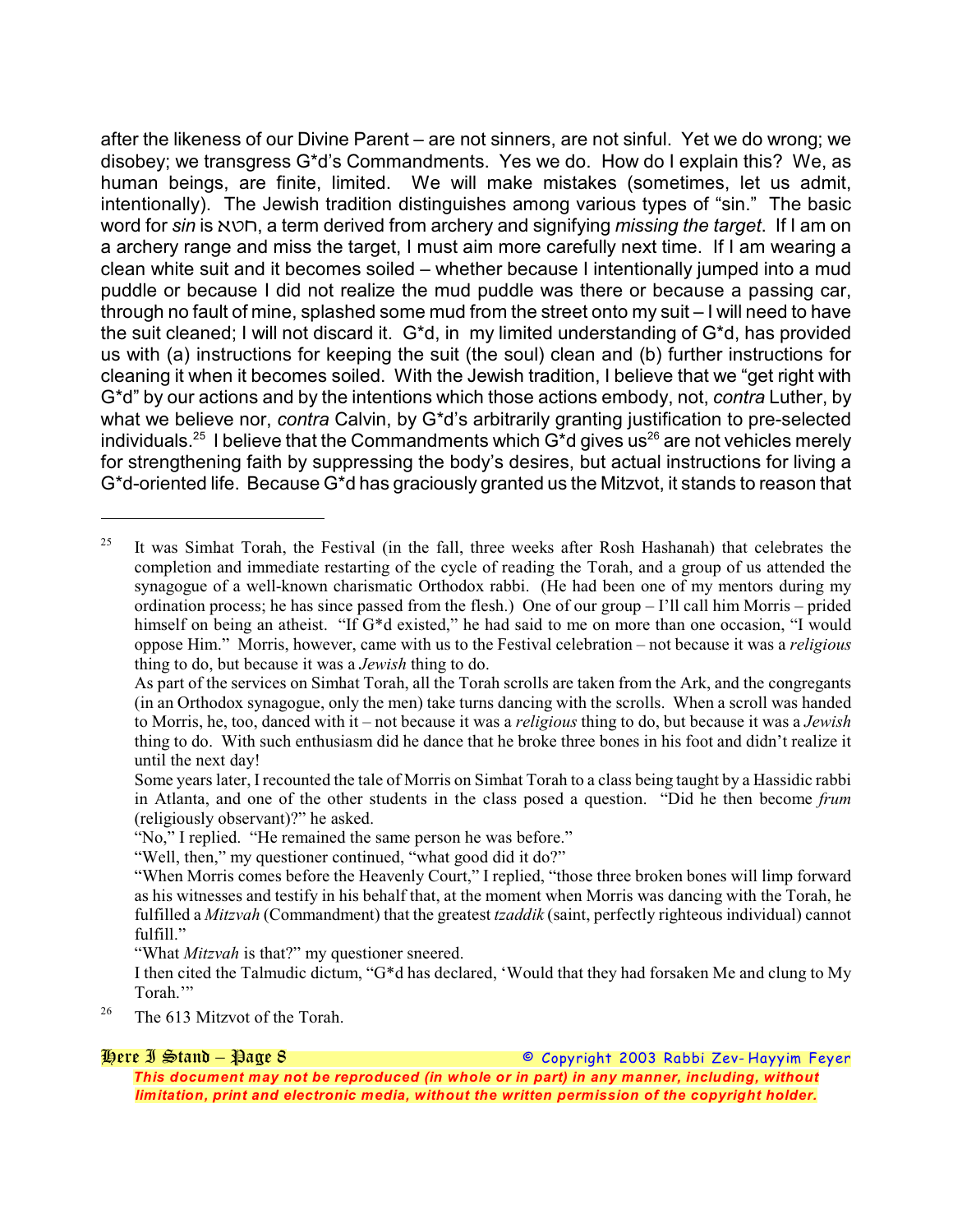after the likeness of our Divine Parent – are not sinners, are not sinful. Yet we do wrong; we disobey; we transgress G\*d's Commandments. Yes we do. How do I explain this? We, as human beings, are finite, limited. We will make mistakes (sometimes, let us admit, intentionally). The Jewish tradition distinguishes among various types of "sin." The basic word for *sin* is  $\sqrt{ }$ , a term derived from archery and signifying *missing the target*. If I am on a archery range and miss the target, I must aim more carefully next time. If I am wearing a clean white suit and it becomes soiled – whether because I intentionally jumped into a mud puddle or because I did not realize the mud puddle was there or because a passing car, through no fault of mine, splashed some mud from the street onto my suit – I will need to have the suit cleaned; I will not discard it. G\*d, in my limited understanding of G\*d, has provided us with (a) instructions for keeping the suit (the soul) clean and (b) further instructions for cleaning it when it becomes soiled. With the Jewish tradition, I believe that we "get right with G\*d" by our actions and by the intentions which those actions embody, not, *contra* Luther, by what we believe nor, *contra* Calvin, by G\*d's arbitrarily granting justification to pre-selected individuals. <sup>25</sup> I believe that the Commandments which  $G^*$ d gives us<sup>26</sup> are not vehicles merely for strengthening faith by suppressing the body's desires, but actual instructions for living a G\*d-oriented life. Because G\*d has graciously granted us the Mitzvot, it stands to reason that

"What *Mitzvah* is that?" my questioner sneered.

<sup>26</sup> The 613 Mitzvot of the Torah.

*Here I Stand – Page 8 © Copyright 2003 Rabbi Zev- Hayyim Feyer This document may not be reproduced (in whole or in part) in any manner, including, without limitation, print and electronic media, without the written permission of the copyright holder.*

<sup>&</sup>lt;sup>25</sup> It was Simhat Torah, the Festival (in the fall, three weeks after Rosh Hashanah) that celebrates the completion and immediate restarting of the cycle of reading the Torah, and a group of us attended the synagogue of a well-known charismatic Orthodox rabbi. (He had been one of my mentors during my ordination process; he has since passed from the flesh.) One of our group – I'll call him Morris – prided himself on being an atheist. "If G\*d existed," he had said to me on more than one occasion, "I would oppose Him." Morris, however, came with us to the Festival celebration – not because it was a *religious* thing to do, but because it was a *Jewish* thing to do.

As part of the services on Simhat Torah, all the Torah scrolls are taken from the Ark, and the congregants (in an Orthodox synagogue, only the men) take turns dancing with the scrolls. When a scroll was handed to Morris, he, too, danced with it – not because it was a *religious* thing to do, but because it was a *Jewish* thing to do. With such enthusiasm did he dance that he broke three bones in his foot and didn't realize it until the next day!

Some years later, I recounted the tale of Morris on Simhat Torah to a class being taught by a Hassidic rabbi in Atlanta, and one of the other students in the class posed a question. "Did he then become *frum* (religiously observant)?" he asked.

<sup>&</sup>quot;No," I replied. "He remained the same person he was before."

<sup>&</sup>quot;Well, then," my questioner continued, "what good did it do?"

<sup>&</sup>quot;When Morris comes before the Heavenly Court," I replied, "those three broken bones will limp forward as his witnesses and testify in his behalf that, at the moment when Morris was dancing with the Torah, he fulfilled a *Mitzvah* (Commandment) that the greatest *tzaddik* (saint, perfectly righteous individual) cannot fulfill."

I then cited the Talmudic dictum, "G\*d has declared, 'Would that they had forsaken Me and clung to My Torah."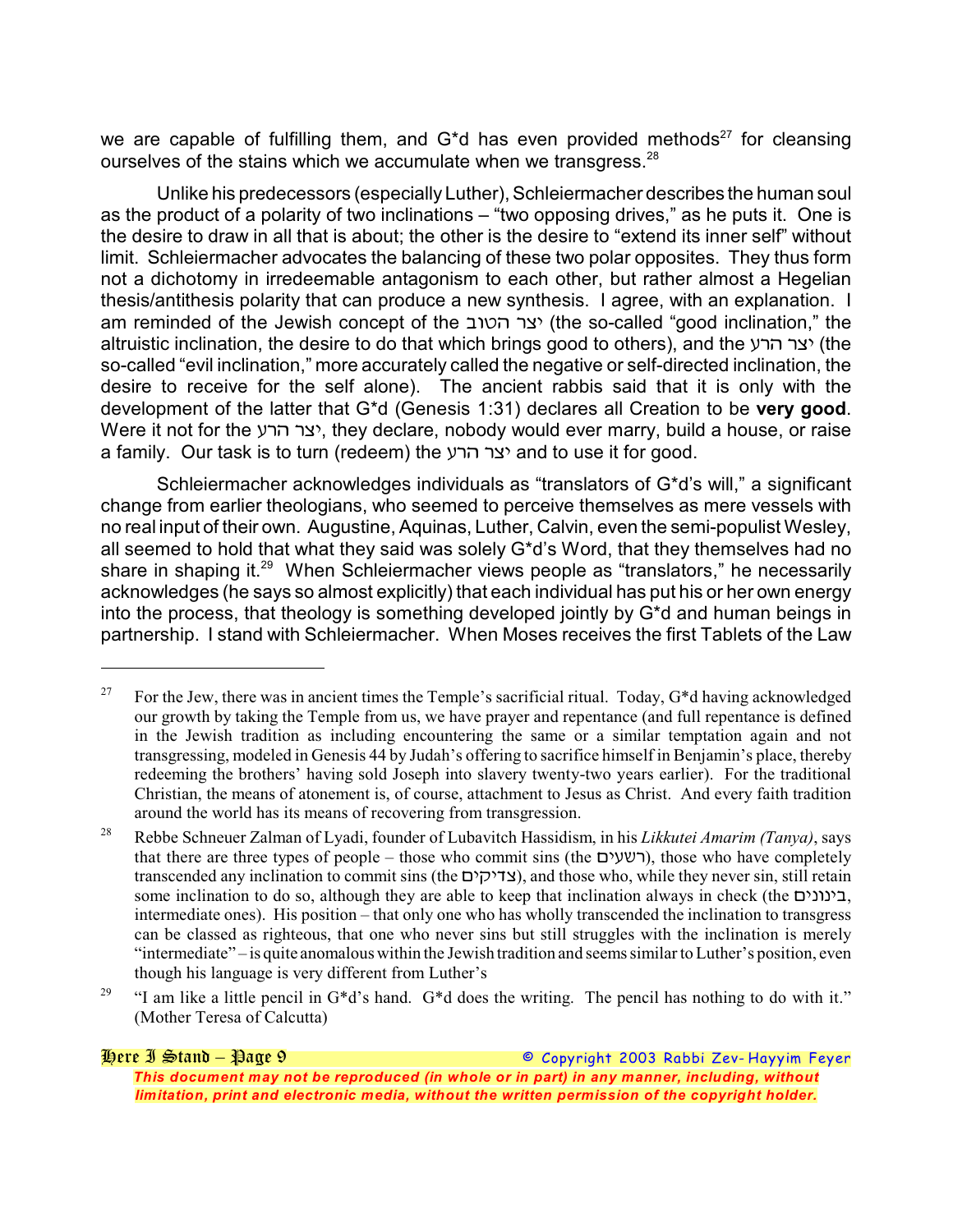we are capable of fulfilling them, and G<sup>\*</sup>d has even provided methods<sup>27</sup> for cleansing ourselves of the stains which we accumulate when we transgress.<sup>28</sup>

Unlike his predecessors (especially Luther), Schleiermacher describes the human soul as the product of a polarity of two inclinations – "two opposing drives," as he puts it. One is the desire to draw in all that is about; the other is the desire to "extend its inner self" without limit. Schleiermacher advocates the balancing of these two polar opposites. They thus form not a dichotomy in irredeemable antagonism to each other, but rather almost a Hegelian thesis/antithesis polarity that can produce a new synthesis. I agree, with an explanation. I am reminded of the Jewish concept of the *"&)% 97\** (the so-called "good inclination," the altruistic inclination, the desire to do that which brings good to others), and the *39% 97\** (the so-called "evil inclination," more accurately called the negative or self-directed inclination, the desire to receive for the self alone). The ancient rabbis said that it is only with the development of the latter that G\*d (Genesis 1:31) declares all Creation to be **very good**. Were it not for the *39% 97\**, they declare, nobody would ever marry, build a house, or raise a family. Our task is to turn (redeem) the *39% 97\** and to use it for good.

Schleiermacher acknowledges individuals as "translators of G\*d's will," a significant change from earlier theologians, who seemed to perceive themselves as mere vessels with no real input of their own. Augustine, Aquinas, Luther, Calvin, even the semi-populist Wesley, all seemed to hold that what they said was solely G\*d's Word, that they themselves had no share in shaping it. $29$  When Schleiermacher views people as "translators," he necessarily acknowledges (he says so almost explicitly) that each individual has put his or her own energy into the process, that theology is something developed jointly by G\*d and human beings in partnership. I stand with Schleiermacher. When Moses receives the first Tablets of the Law

<sup>&</sup>lt;sup>27</sup> For the Jew, there was in ancient times the Temple's sacrificial ritual. Today,  $G^*d$  having acknowledged our growth by taking the Temple from us, we have prayer and repentance (and full repentance is defined in the Jewish tradition as including encountering the same or a similar temptation again and not transgressing, modeled in Genesis 44 by Judah's offering to sacrifice himself in Benjamin's place, thereby redeeming the brothers' having sold Joseph into slavery twenty-two years earlier). For the traditional Christian, the means of atonement is, of course, attachment to Jesus as Christ. And every faith tradition around the world has its means of recovering from transgression.

Rebbe Schneuer Zalman of Lyadi, founder of Lubavitch Hassidism, in his *Likkutei Amarim (Tanya)*, says <sup>28</sup> that there are three types of people – those who commit sins (the *.\*3:9*), those who have completely transcended any inclination to commit sins (the *.\*8\*\$7*), and those who, while they never sin, still retain some inclination to do so, although they are able to keep that inclination always in check (the *.\*1&1\*"*, intermediate ones). His position – that only one who has wholly transcended the inclination to transgress can be classed as righteous, that one who never sins but still struggles with the inclination is merely "intermediate" – is quite anomalous within the Jewish tradition and seems similar to Luther's position, even though his language is very different from Luther's

<sup>&</sup>lt;sup>29</sup> "I am like a little pencil in G<sup>\*</sup>d's hand. G<sup>\*</sup>d does the writing. The pencil has nothing to do with it." (Mother Teresa of Calcutta)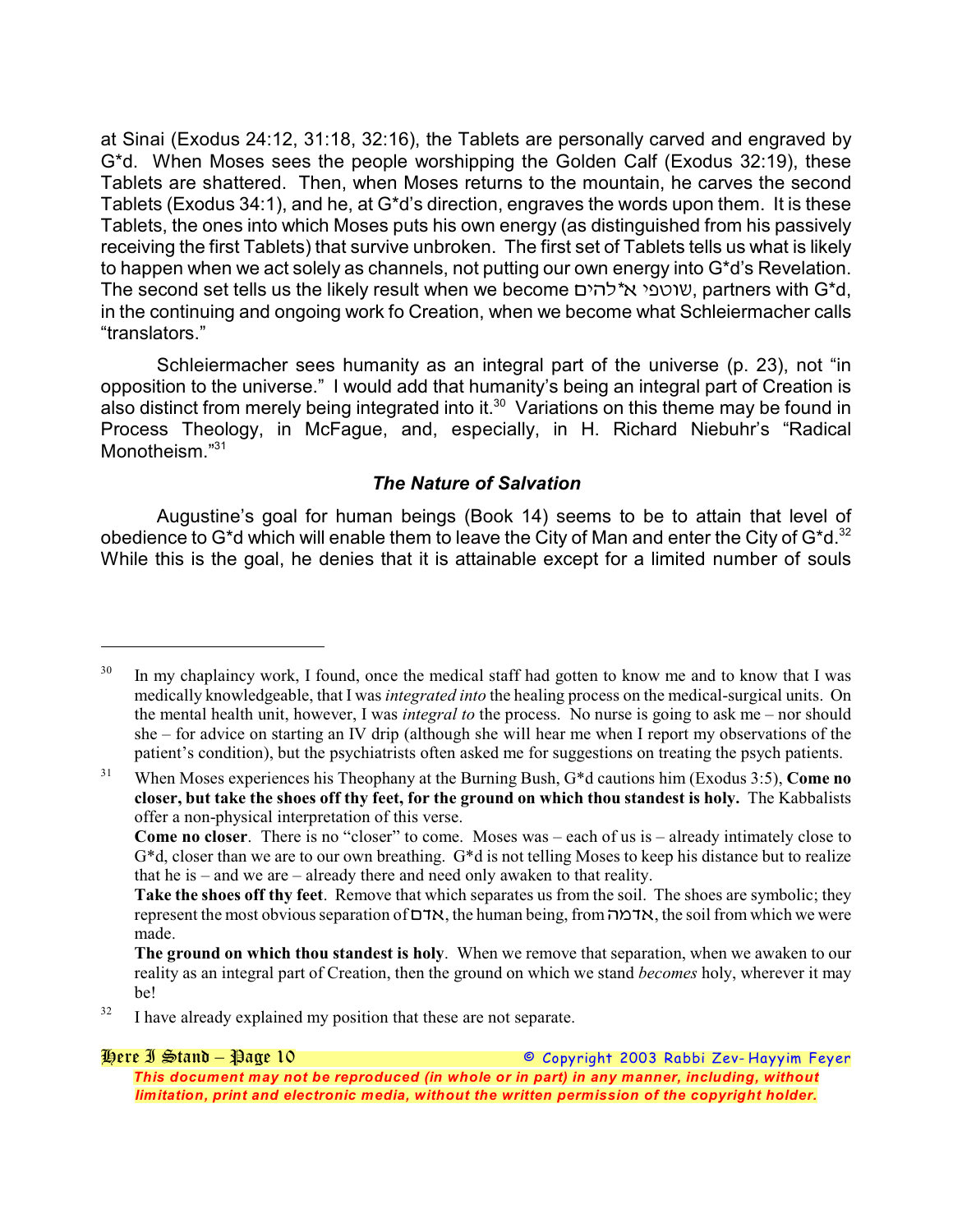at Sinai (Exodus 24:12, 31:18, 32:16), the Tablets are personally carved and engraved by G\*d. When Moses sees the people worshipping the Golden Calf (Exodus 32:19), these Tablets are shattered. Then, when Moses returns to the mountain, he carves the second Tablets (Exodus 34:1), and he, at G\*d's direction, engraves the words upon them. It is these Tablets, the ones into which Moses puts his own energy (as distinguished from his passively receiving the first Tablets) that survive unbroken. The first set of Tablets tells us what is likely to happen when we act solely as channels, not putting our own energy into G\*d's Revelation. The second set tells us the likely result when we become *.\*%-\*! \*5)&:*, partners with G\*d, in the continuing and ongoing work fo Creation, when we become what Schleiermacher calls "translators."

Schleiermacher sees humanity as an integral part of the universe (p. 23), not "in opposition to the universe." I would add that humanity's being an integral part of Creation is also distinct from merely being integrated into it.<sup>30</sup> Variations on this theme may be found in Process Theology, in McFague, and, especially, in H. Richard Niebuhr's "Radical Monotheism."<sup>31</sup>

### *The Nature of Salvation*

Augustine's goal for human beings (Book 14) seems to be to attain that level of obedience to G\*d which will enable them to leave the City of Man and enter the City of  $G^*d$ .<sup>32</sup> While this is the goal, he denies that it is attainable except for a limited number of souls

<sup>&</sup>lt;sup>30</sup> In my chaplaincy work, I found, once the medical staff had gotten to know me and to know that I was medically knowledgeable, that I was *integrated into* the healing process on the medical-surgical units. On the mental health unit, however, I was *integral to* the process. No nurse is going to ask me – nor should she – for advice on starting an IV drip (although she will hear me when I report my observations of the patient's condition), but the psychiatrists often asked me for suggestions on treating the psych patients.

<sup>&</sup>lt;sup>31</sup> When Moses experiences his Theophany at the Burning Bush, G<sup>\*</sup>d cautions him (Exodus 3:5), **Come no closer, but take the shoes off thy feet, for the ground on which thou standest is holy.** The Kabbalists offer a non-physical interpretation of this verse.

**Come no closer**. There is no "closer" to come. Moses was – each of us is – already intimately close to  $G^*d$ , closer than we are to our own breathing.  $G^*d$  is not telling Moses to keep his distance but to realize that he is – and we are – already there and need only awaken to that reality.

**Take the shoes off thy feet**. Remove that which separates us from the soil. The shoes are symbolic; they represent the most obvious separation of *.\$!*, the human being, from *%/\$!*, the soil from which we were made.

**The ground on which thou standest is holy**. When we remove that separation, when we awaken to our reality as an integral part of Creation, then the ground on which we stand *becomes* holy, wherever it may be!

 $1<sup>32</sup>$  I have already explained my position that these are not separate.

*Here I Stand – Page 10 © Copyright 2003 Rabbi Zev- Hayyim Feyer This document may not be reproduced (in whole or in part) in any manner, including, without limitation, print and electronic media, without the written permission of the copyright holder.*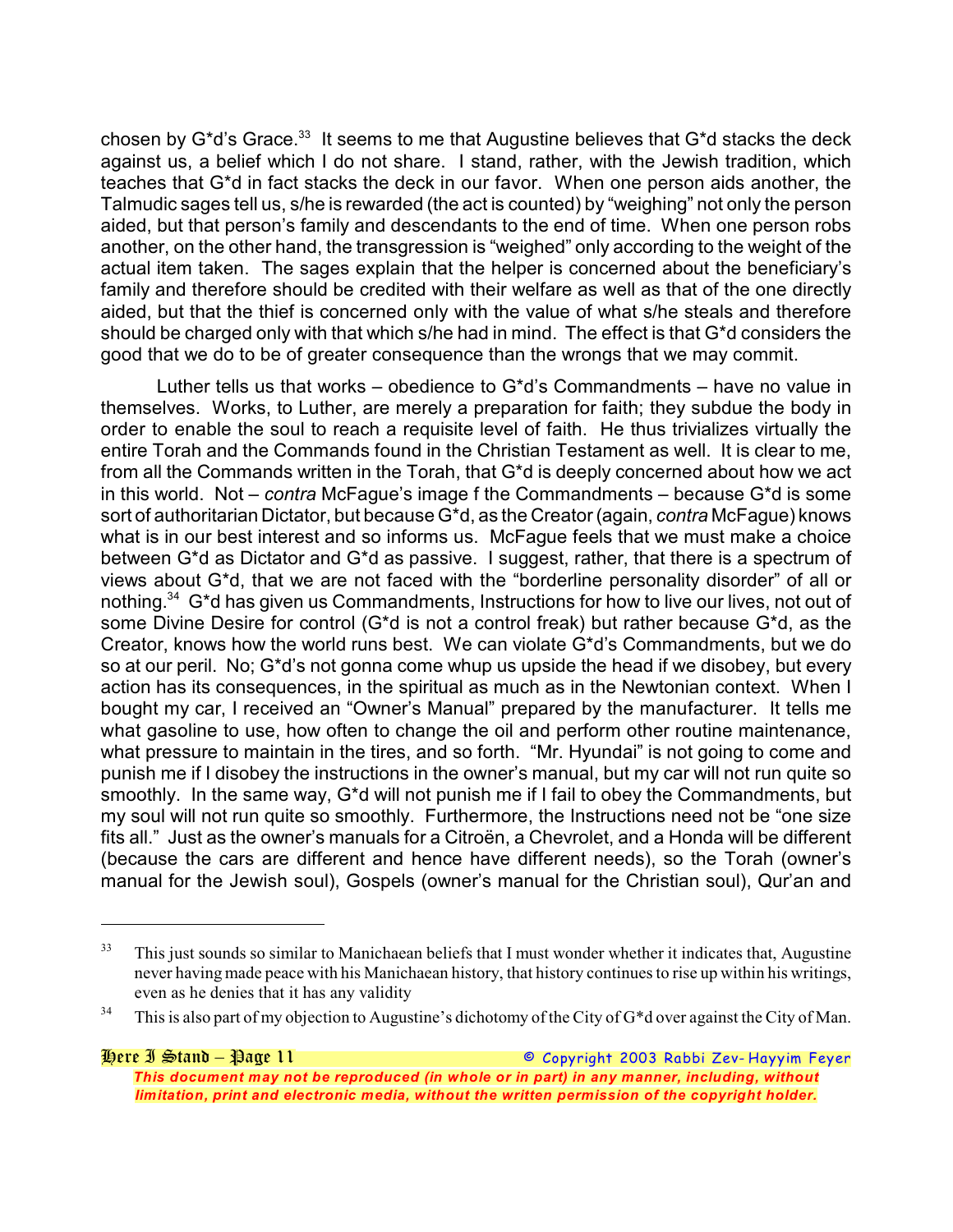chosen by  $G^*d$ 's Grace.<sup>33</sup> It seems to me that Augustine believes that  $G^*d$  stacks the deck against us, a belief which I do not share. I stand, rather, with the Jewish tradition, which teaches that G\*d in fact stacks the deck in our favor. When one person aids another, the Talmudic sages tell us, s/he is rewarded (the act is counted) by "weighing" not only the person aided, but that person's family and descendants to the end of time. When one person robs another, on the other hand, the transgression is "weighed" only according to the weight of the actual item taken. The sages explain that the helper is concerned about the beneficiary's family and therefore should be credited with their welfare as well as that of the one directly aided, but that the thief is concerned only with the value of what s/he steals and therefore should be charged only with that which s/he had in mind. The effect is that G\*d considers the good that we do to be of greater consequence than the wrongs that we may commit.

Luther tells us that works – obedience to  $G^*d$ 's Commandments – have no value in themselves. Works, to Luther, are merely a preparation for faith; they subdue the body in order to enable the soul to reach a requisite level of faith. He thus trivializes virtually the entire Torah and the Commands found in the Christian Testament as well. It is clear to me, from all the Commands written in the Torah, that G\*d is deeply concerned about how we act in this world. Not – *contra* McFague's image f the Commandments – because G\*d is some sort of authoritarian Dictator, but because G\*d, as the Creator (again, *contra* McFague) knows what is in our best interest and so informs us. McFague feels that we must make a choice between G\*d as Dictator and G\*d as passive. I suggest, rather, that there is a spectrum of views about G\*d, that we are not faced with the "borderline personality disorder" of all or nothing.<sup>34</sup> G\*d has given us Commandments, Instructions for how to live our lives, not out of some Divine Desire for control (G\*d is not a control freak) but rather because G\*d, as the Creator, knows how the world runs best. We can violate G\*d's Commandments, but we do so at our peril. No; G\*d's not gonna come whup us upside the head if we disobey, but every action has its consequences, in the spiritual as much as in the Newtonian context. When I bought my car, I received an "Owner's Manual" prepared by the manufacturer. It tells me what gasoline to use, how often to change the oil and perform other routine maintenance, what pressure to maintain in the tires, and so forth. "Mr. Hyundai" is not going to come and punish me if I disobey the instructions in the owner's manual, but my car will not run quite so smoothly. In the same way, G\*d will not punish me if I fail to obey the Commandments, but my soul will not run quite so smoothly. Furthermore, the Instructions need not be "one size fits all." Just as the owner's manuals for a Citroën, a Chevrolet, and a Honda will be different (because the cars are different and hence have different needs), so the Torah (owner's manual for the Jewish soul), Gospels (owner's manual for the Christian soul), Qur'an and

<sup>&</sup>lt;sup>33</sup> This just sounds so similar to Manichaean beliefs that I must wonder whether it indicates that, Augustine never having made peace with his Manichaean history, that history continues to rise up within his writings, even as he denies that it has any validity

<sup>&</sup>lt;sup>34</sup> This is also part of my objection to Augustine's dichotomy of the City of G<sup>\*</sup>d over against the City of Man.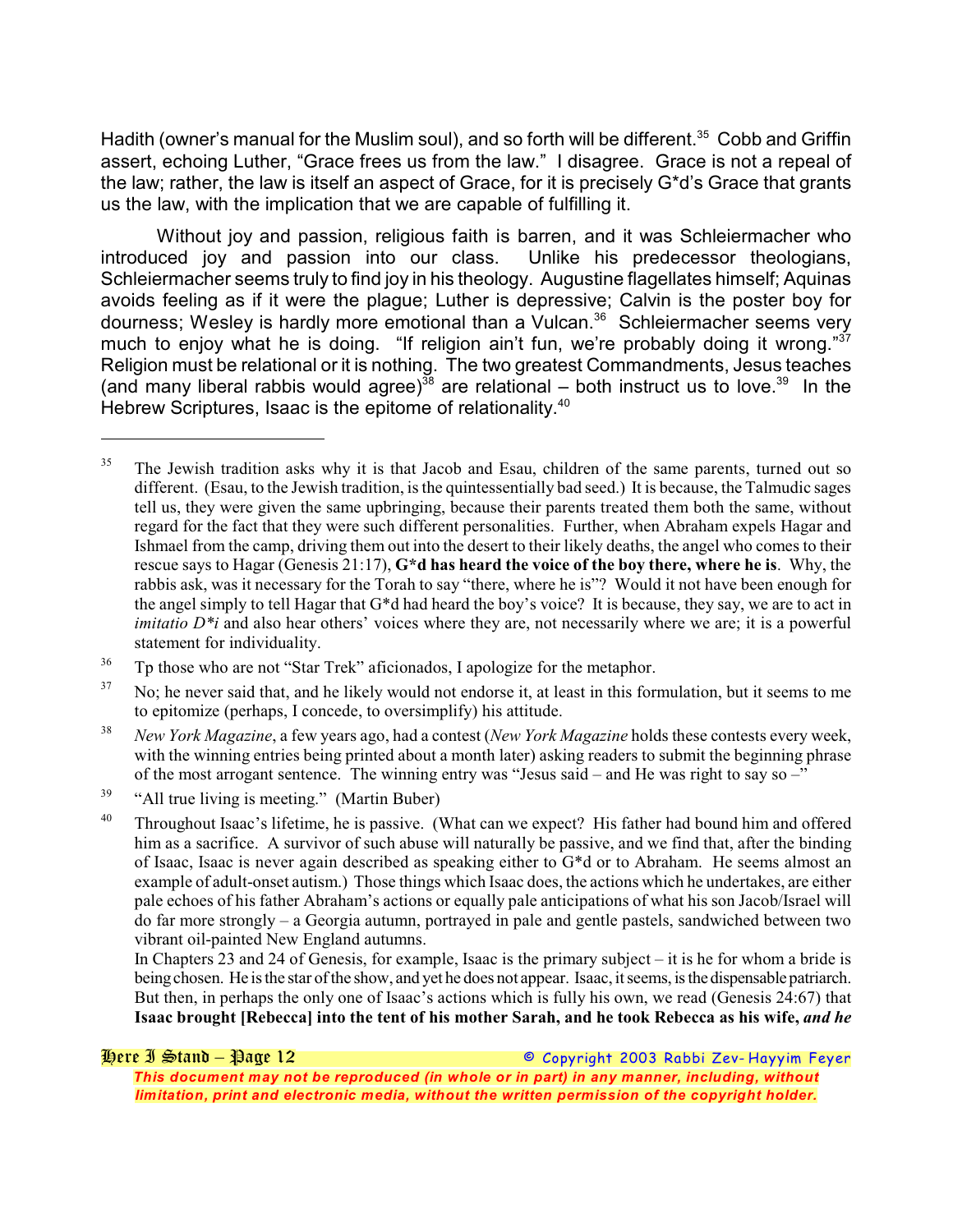Hadith (owner's manual for the Muslim soul), and so forth will be different.<sup>35</sup> Cobb and Griffin assert, echoing Luther, "Grace frees us from the law." I disagree. Grace is not a repeal of the law; rather, the law is itself an aspect of Grace, for it is precisely G\*d's Grace that grants us the law, with the implication that we are capable of fulfilling it.

Without joy and passion, religious faith is barren, and it was Schleiermacher who introduced joy and passion into our class. Unlike his predecessor theologians, Schleiermacher seems truly to find joy in his theology. Augustine flagellates himself; Aquinas avoids feeling as if it were the plague; Luther is depressive; Calvin is the poster boy for dourness; Wesley is hardly more emotional than a Vulcan.<sup>36</sup> Schleiermacher seems very much to enjoy what he is doing. "If religion ain't fun, we're probably doing it wrong."<sup>37</sup> Religion must be relational or it is nothing. The two greatest Commandments, Jesus teaches (and many liberal rabbis would agree)<sup>38</sup> are relational – both instruct us to love.<sup>39</sup> In the Hebrew Scriptures, Isaac is the epitome of relationality.<sup>40</sup>

*Here I Stand – Page 12 © Copyright 2003 Rabbi Zev- Hayyim Feyer This document may not be reproduced (in whole or in part) in any manner, including, without limitation, print and electronic media, without the written permission of the copyright holder.*

The Jewish tradition asks why it is that Jacob and Esau, children of the same parents, turned out so 35 different. (Esau, to the Jewish tradition, is the quintessentially bad seed.) It is because, the Talmudic sages tell us, they were given the same upbringing, because their parents treated them both the same, without regard for the fact that they were such different personalities. Further, when Abraham expels Hagar and Ishmael from the camp, driving them out into the desert to their likely deaths, the angel who comes to their rescue says to Hagar (Genesis 21:17), **G\*d has heard the voice of the boy there, where he is**. Why, the rabbis ask, was it necessary for the Torah to say "there, where he is"? Would it not have been enough for the angel simply to tell Hagar that G\*d had heard the boy's voice? It is because, they say, we are to act in *imitatio*  $D^*$ *i* and also hear others' voices where they are, not necessarily where we are; it is a powerful statement for individuality.

<sup>&</sup>lt;sup>36</sup> Tp those who are not "Star Trek" aficionados, I apologize for the metaphor.

<sup>&</sup>lt;sup>37</sup> No; he never said that, and he likely would not endorse it, at least in this formulation, but it seems to me to epitomize (perhaps, I concede, to oversimplify) his attitude.

<sup>&</sup>lt;sup>38</sup> New York Magazine, a few years ago, had a contest (*New York Magazine* holds these contests every week, with the winning entries being printed about a month later) asking readers to submit the beginning phrase of the most arrogant sentence. The winning entry was "Jesus said – and He was right to say so –"

<sup>&</sup>quot;All true living is meeting." (Martin Buber) 39

<sup>&</sup>lt;sup>40</sup> Throughout Isaac's lifetime, he is passive. (What can we expect? His father had bound him and offered him as a sacrifice. A survivor of such abuse will naturally be passive, and we find that, after the binding of Isaac, Isaac is never again described as speaking either to G\*d or to Abraham. He seems almost an example of adult-onset autism.) Those things which Isaac does, the actions which he undertakes, are either pale echoes of his father Abraham's actions or equally pale anticipations of what his son Jacob/Israel will do far more strongly – a Georgia autumn, portrayed in pale and gentle pastels, sandwiched between two vibrant oil-painted New England autumns.

In Chapters 23 and 24 of Genesis, for example, Isaac is the primary subject – it is he for whom a bride is being chosen. He is the star of the show, and yet he does not appear. Isaac, it seems, is the dispensable patriarch. But then, in perhaps the only one of Isaac's actions which is fully his own, we read (Genesis 24:67) that **Isaac brought [Rebecca] into the tent of his mother Sarah, and he took Rebecca as his wife,** *and he*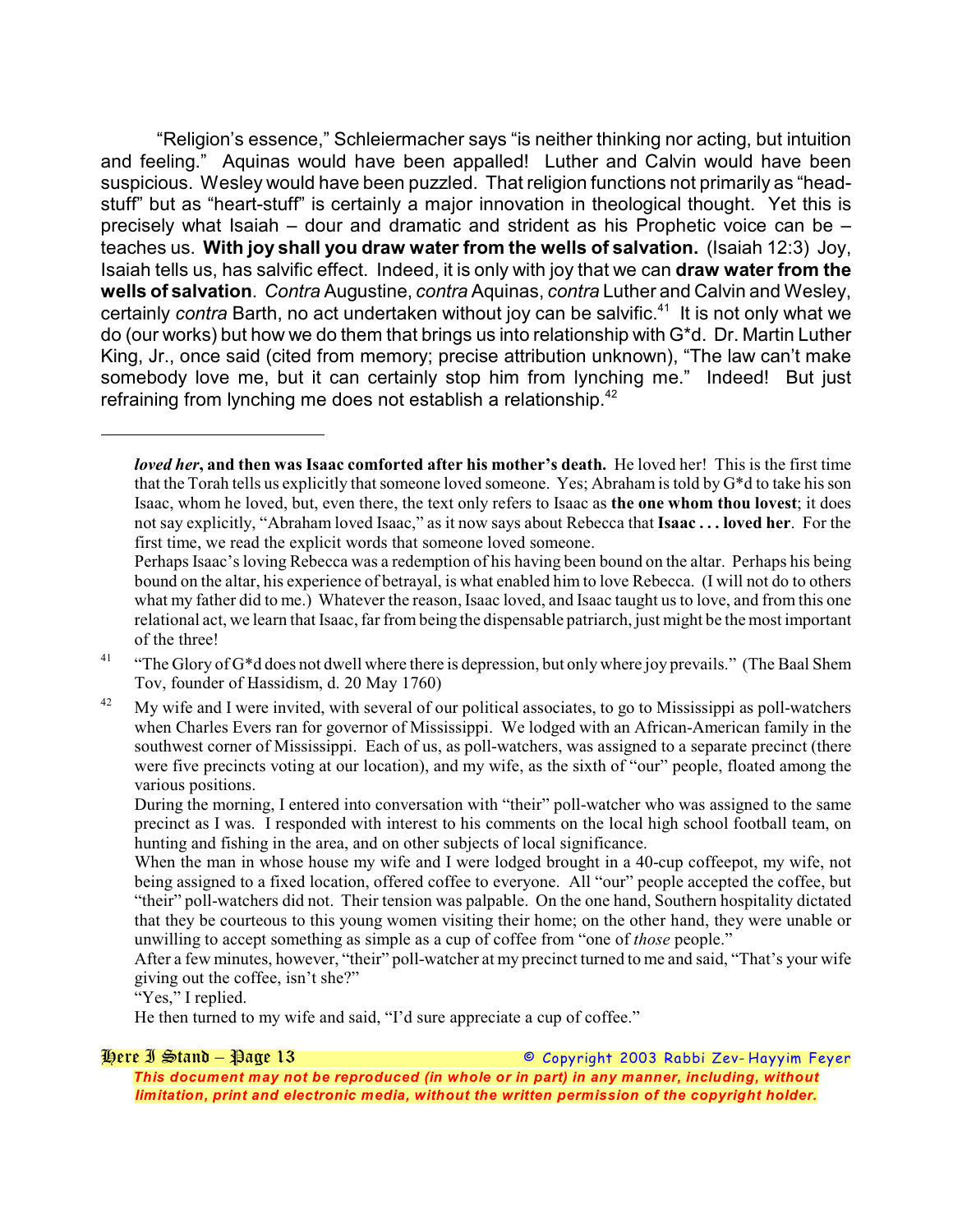"Religion's essence," Schleiermacher says "is neither thinking nor acting, but intuition and feeling." Aquinas would have been appalled! Luther and Calvin would have been suspicious. Wesley would have been puzzled. That religion functions not primarily as "headstuff" but as "heart-stuff" is certainly a major innovation in theological thought. Yet this is precisely what Isaiah – dour and dramatic and strident as his Prophetic voice can be – teaches us. **With joy shall you draw water from the wells of salvation.** (Isaiah 12:3) Joy, Isaiah tells us, has salvific effect. Indeed, it is only with joy that we can **draw water from the wells of salvation**. *Contra* Augustine, *contra* Aquinas, *contra* Luther and Calvin and Wesley, certainly *contra* Barth, no act undertaken without joy can be salvific.<sup>41</sup> It is not only what we do (our works) but how we do them that brings us into relationship with G\*d. Dr. Martin Luther King, Jr., once said (cited from memory; precise attribution unknown), "The law can't make somebody love me, but it can certainly stop him from lynching me." Indeed! But just refraining from lynching me does not establish a relationship. $42$ 

During the morning, I entered into conversation with "their" poll-watcher who was assigned to the same precinct as I was. I responded with interest to his comments on the local high school football team, on hunting and fishing in the area, and on other subjects of local significance.

When the man in whose house my wife and I were lodged brought in a 40-cup coffeepot, my wife, not being assigned to a fixed location, offered coffee to everyone. All "our" people accepted the coffee, but "their" poll-watchers did not. Their tension was palpable. On the one hand, Southern hospitality dictated that they be courteous to this young women visiting their home; on the other hand, they were unable or unwilling to accept something as simple as a cup of coffee from "one of *those* people."

After a few minutes, however, "their" poll-watcher at my precinct turned to me and said, "That's your wife giving out the coffee, isn't she?"

"Yes," I replied.

He then turned to my wife and said, "I'd sure appreciate a cup of coffee."

*Here I Stand – Page 13 © Copyright 2003 Rabbi Zev- Hayyim Feyer This document may not be reproduced (in whole or in part) in any manner, including, without limitation, print and electronic media, without the written permission of the copyright holder.*

*loved her***, and then was Isaac comforted after his mother's death.** He loved her! This is the first time that the Torah tells us explicitly that someone loved someone. Yes; Abraham is told by G\*d to take his son Isaac, whom he loved, but, even there, the text only refers to Isaac as **the one whom thou lovest**; it does not say explicitly, "Abraham loved Isaac," as it now says about Rebecca that **Isaac . . . loved her**. For the first time, we read the explicit words that someone loved someone.

Perhaps Isaac's loving Rebecca was a redemption of his having been bound on the altar. Perhaps his being bound on the altar, his experience of betrayal, is what enabled him to love Rebecca. (I will not do to others what my father did to me.) Whatever the reason, Isaac loved, and Isaac taught us to love, and from this one relational act, we learn that Isaac, far from being the dispensable patriarch, just might be the most important of the three!

<sup>&</sup>lt;sup>41</sup> "The Glory of G<sup>\*</sup>d does not dwell where there is depression, but only where joy prevails." (The Baal Shem Tov, founder of Hassidism, d. 20 May 1760)

My wife and I were invited, with several of our political associates, to go to Mississippi as poll-watchers 42 when Charles Evers ran for governor of Mississippi. We lodged with an African-American family in the southwest corner of Mississippi. Each of us, as poll-watchers, was assigned to a separate precinct (there were five precincts voting at our location), and my wife, as the sixth of "our" people, floated among the various positions.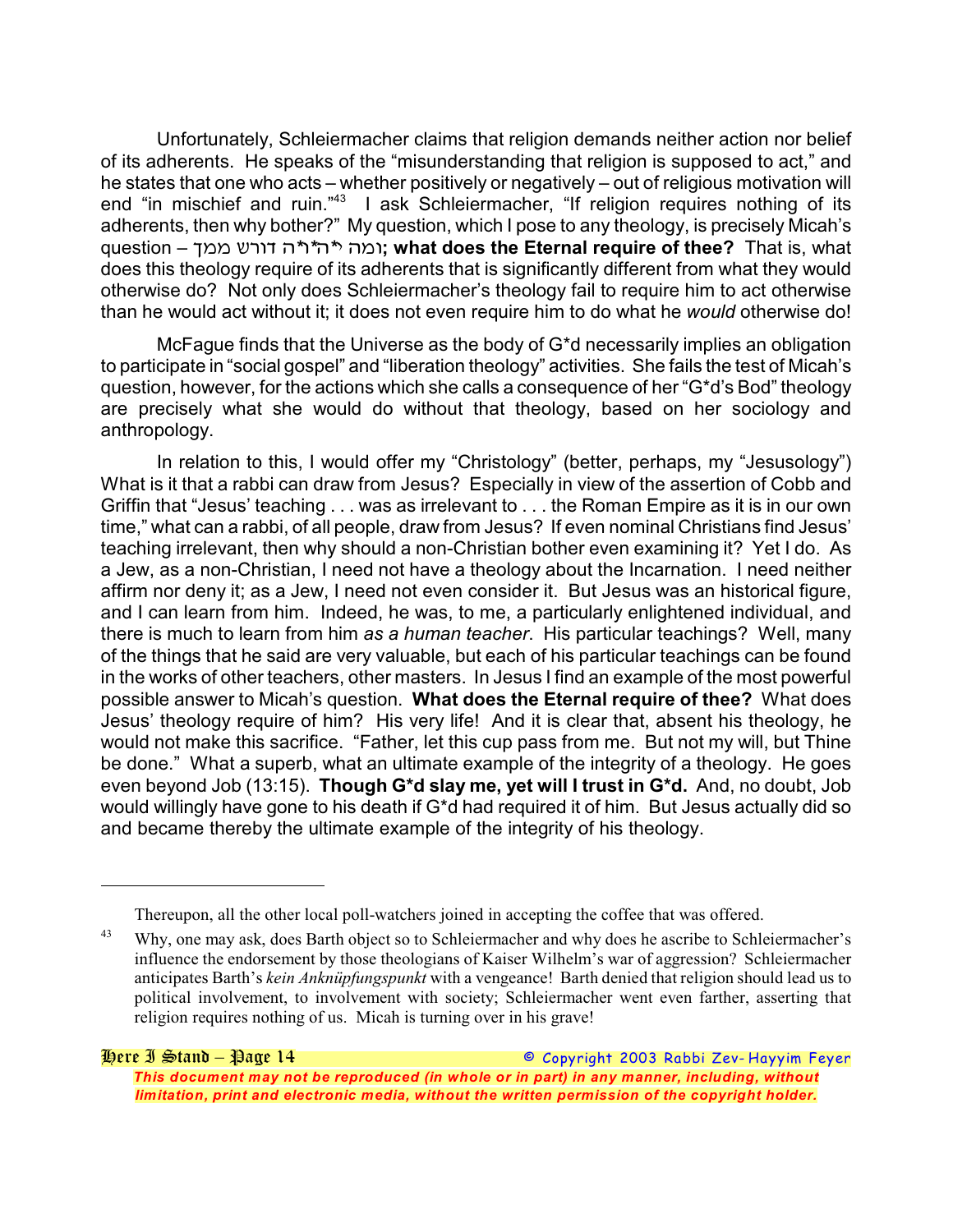Unfortunately, Schleiermacher claims that religion demands neither action nor belief of its adherents. He speaks of the "misunderstanding that religion is supposed to act," and he states that one who acts – whether positively or negatively – out of religious motivation will end "in mischief and ruin."<sup>43</sup> I ask Schleiermacher, "If religion requires nothing of its adherents, then why bother?" My question, which I pose to any theology, is precisely Micah's question – *+// :9&\$ %\*&\*%\*\* %/&***; what does the Eternal require of thee?** That is, what does this theology require of its adherents that is significantly different from what they would otherwise do? Not only does Schleiermacher's theology fail to require him to act otherwise than he would act without it; it does not even require him to do what he *would* otherwise do!

McFague finds that the Universe as the body of G\*d necessarily implies an obligation to participate in "social gospel" and "liberation theology" activities. She fails the test of Micah's question, however, for the actions which she calls a consequence of her "G\*d's Bod" theology are precisely what she would do without that theology, based on her sociology and anthropology.

In relation to this, I would offer my "Christology" (better, perhaps, my "Jesusology") What is it that a rabbi can draw from Jesus? Especially in view of the assertion of Cobb and Griffin that "Jesus' teaching . . . was as irrelevant to . . . the Roman Empire as it is in our own time," what can a rabbi, of all people, draw from Jesus? If even nominal Christians find Jesus' teaching irrelevant, then why should a non-Christian bother even examining it? Yet I do. As a Jew, as a non-Christian, I need not have a theology about the Incarnation. I need neither affirm nor deny it; as a Jew, I need not even consider it. But Jesus was an historical figure, and I can learn from him. Indeed, he was, to me, a particularly enlightened individual, and there is much to learn from him *as a human teacher*. His particular teachings? Well, many of the things that he said are very valuable, but each of his particular teachings can be found in the works of other teachers, other masters. In Jesus I find an example of the most powerful possible answer to Micah's question. **What does the Eternal require of thee?** What does Jesus' theology require of him? His very life! And it is clear that, absent his theology, he would not make this sacrifice. "Father, let this cup pass from me. But not my will, but Thine be done." What a superb, what an ultimate example of the integrity of a theology. He goes even beyond Job (13:15). **Though G\*d slay me, yet will I trust in G\*d.** And, no doubt, Job would willingly have gone to his death if G\*d had required it of him. But Jesus actually did so and became thereby the ultimate example of the integrity of his theology.

Thereupon, all the other local poll-watchers joined in accepting the coffee that was offered.

Why, one may ask, does Barth object so to Schleiermacher and why does he ascribe to Schleiermacher's 43 influence the endorsement by those theologians of Kaiser Wilhelm's war of aggression? Schleiermacher anticipates Barth's *kein Anknüpfungspunkt* with a vengeance! Barth denied that religion should lead us to political involvement, to involvement with society; Schleiermacher went even farther, asserting that religion requires nothing of us. Micah is turning over in his grave!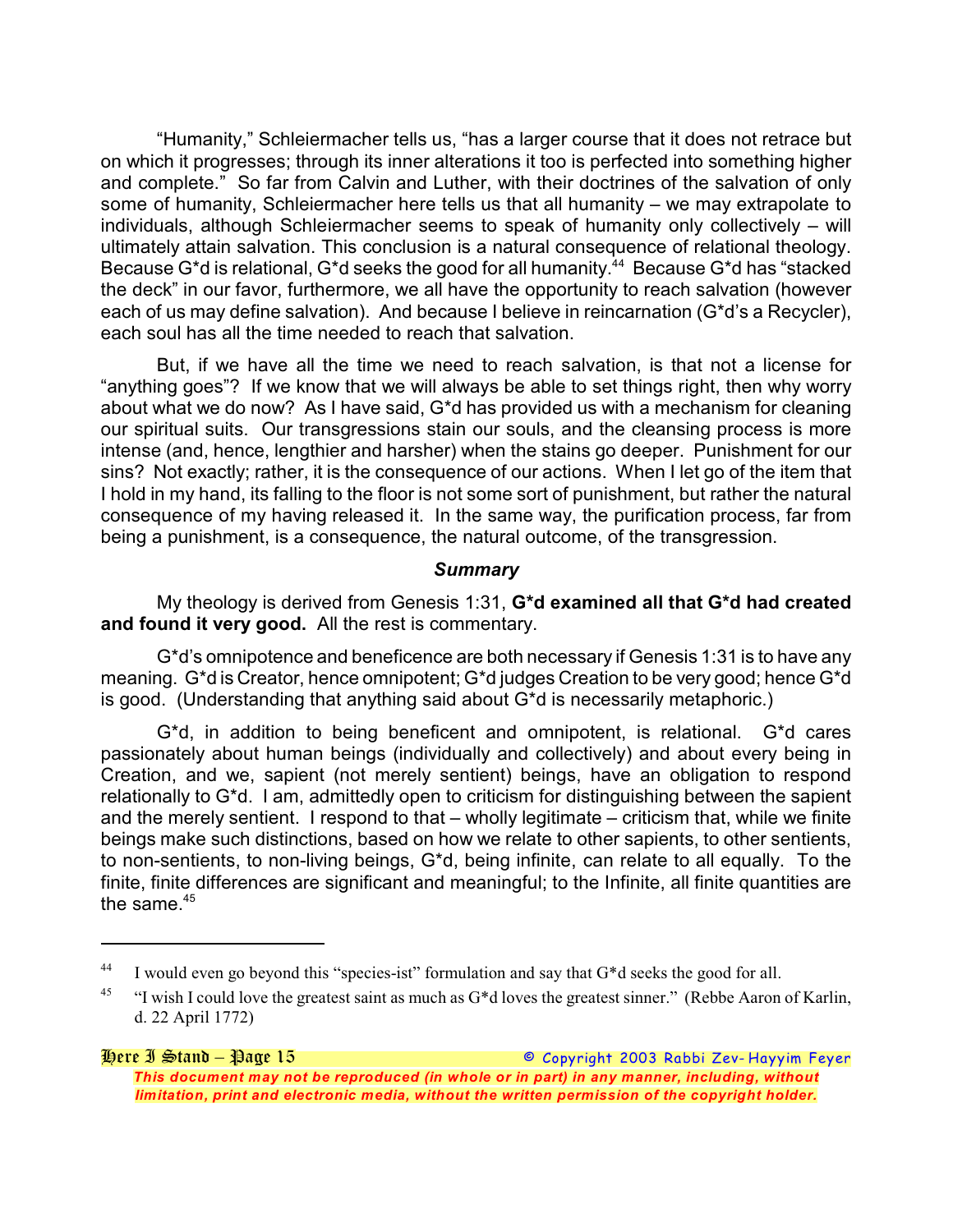"Humanity," Schleiermacher tells us, "has a larger course that it does not retrace but on which it progresses; through its inner alterations it too is perfected into something higher and complete." So far from Calvin and Luther, with their doctrines of the salvation of only some of humanity, Schleiermacher here tells us that all humanity – we may extrapolate to individuals, although Schleiermacher seems to speak of humanity only collectively – will ultimately attain salvation. This conclusion is a natural consequence of relational theology. Because G\*d is relational, G\*d seeks the good for all humanity.<sup>44</sup> Because G\*d has "stacked the deck" in our favor, furthermore, we all have the opportunity to reach salvation (however each of us may define salvation). And because I believe in reincarnation (G\*d's a Recycler), each soul has all the time needed to reach that salvation.

But, if we have all the time we need to reach salvation, is that not a license for "anything goes"? If we know that we will always be able to set things right, then why worry about what we do now? As I have said, G\*d has provided us with a mechanism for cleaning our spiritual suits. Our transgressions stain our souls, and the cleansing process is more intense (and, hence, lengthier and harsher) when the stains go deeper. Punishment for our sins? Not exactly; rather, it is the consequence of our actions. When I let go of the item that I hold in my hand, its falling to the floor is not some sort of punishment, but rather the natural consequence of my having released it. In the same way, the purification process, far from being a punishment, is a consequence, the natural outcome, of the transgression.

### *Summary*

My theology is derived from Genesis 1:31, **G\*d examined all that G\*d had created and found it very good.** All the rest is commentary.

G\*d's omnipotence and beneficence are both necessary if Genesis 1:31 is to have any meaning. G\*d is Creator, hence omnipotent; G\*d judges Creation to be very good; hence G\*d is good. (Understanding that anything said about G\*d is necessarily metaphoric.)

G\*d, in addition to being beneficent and omnipotent, is relational. G\*d cares passionately about human beings (individually and collectively) and about every being in Creation, and we, sapient (not merely sentient) beings, have an obligation to respond relationally to G\*d. I am, admittedly open to criticism for distinguishing between the sapient and the merely sentient. I respond to that – wholly legitimate – criticism that, while we finite beings make such distinctions, based on how we relate to other sapients, to other sentients, to non-sentients, to non-living beings, G\*d, being infinite, can relate to all equally. To the finite, finite differences are significant and meaningful; to the Infinite, all finite quantities are the same. $45$ 

<sup>&</sup>lt;sup>44</sup> I would even go beyond this "species-ist" formulation and say that G<sup>\*</sup>d seeks the good for all.

<sup>&</sup>lt;sup>45</sup> "I wish I could love the greatest saint as much as  $G^*d$  loves the greatest sinner." (Rebbe Aaron of Karlin, d. 22 April 1772)